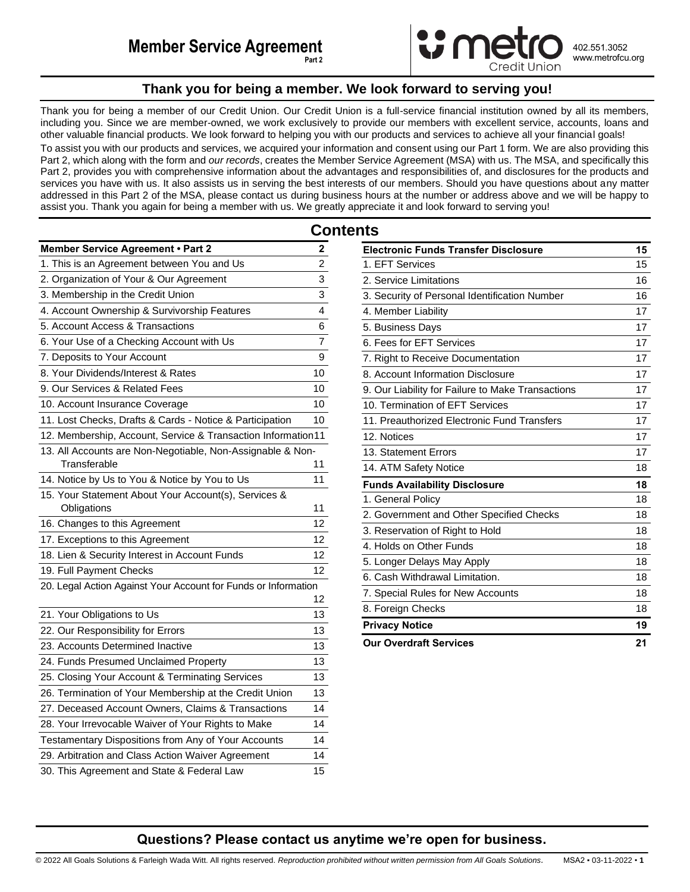

402.551.3052 www.metrofcu.org

# **Thank you for being a member. We look forward to serving you!**

<span id="page-0-0"></span>Thank you for being a member of our Credit Union. Our Credit Union is a full-service financial institution owned by all its members, including you. Since we are member-owned, we work exclusively to provide our members with excellent service, accounts, loans and other valuable financial products. We look forward to helping you with our products and services to achieve all your financial goals! To assist you with our products and services, we acquired your information and consent using our Part 1 form. We are also providing this Part 2, which along with the form and *our records*, creates the Member Service Agreement (MSA) with us. The MSA, and specifically this Part 2, provides you with comprehensive information about the advantages and responsibilities of, and disclosures for the products and services you have with us. It also assists us in serving the best interests of our members. Should you have questions about any matter

addressed in this Part 2 of the MSA, please contact us during business hours at the number or address above and we will be happy to assist you. Thank you again for being a member with us. We greatly appreciate it and look forward to serving you!

|                                                                     | Сo |
|---------------------------------------------------------------------|----|
| Member Service Agreement . Part 2                                   | 2  |
| 1. This is an Agreement between You and Us                          | 2  |
| 2. Organization of Your & Our Agreement                             | 3  |
| 3. Membership in the Credit Union                                   | 3  |
| 4. Account Ownership & Survivorship Features                        | 4  |
| 5. Account Access & Transactions                                    | 6  |
| 6. Your Use of a Checking Account with Us                           | 7  |
| 7. Deposits to Your Account                                         | 9  |
| 8. Your Dividends/Interest & Rates                                  | 10 |
| 9. Our Services & Related Fees                                      | 10 |
| 10. Account Insurance Coverage                                      | 10 |
| 11. Lost Checks, Drafts & Cards - Notice & Participation            | 10 |
| 12. Membership, Account, Service & Transaction Information11        |    |
| 13. All Accounts are Non-Negotiable, Non-Assignable & Non-          |    |
| Transferable                                                        | 11 |
| 14. Notice by Us to You & Notice by You to Us                       | 11 |
| 15. Your Statement About Your Account(s), Services &<br>Obligations | 11 |
| 16. Changes to this Agreement                                       | 12 |
| 17. Exceptions to this Agreement                                    | 12 |
| 18. Lien & Security Interest in Account Funds                       | 12 |
| 19. Full Payment Checks                                             | 12 |
| 20. Legal Action Against Your Account for Funds or Information      | 12 |
| 21. Your Obligations to Us                                          | 13 |
| 22. Our Responsibility for Errors                                   | 13 |
| 23. Accounts Determined Inactive                                    | 13 |
| 24. Funds Presumed Unclaimed Property                               | 13 |
| 25. Closing Your Account & Terminating Services                     | 13 |
| 26. Termination of Your Membership at the Credit Union              | 13 |
| 27. Deceased Account Owners, Claims & Transactions                  | 14 |
| 28. Your Irrevocable Waiver of Your Rights to Make                  | 14 |
| Testamentary Dispositions from Any of Your Accounts                 | 14 |
| 29. Arbitration and Class Action Waiver Agreement                   | 14 |
| 30. This Agreement and State & Federal Law                          | 15 |

| <b>Electronic Funds Transfer Disclosure</b>       |  |
|---------------------------------------------------|--|
| 1. EFT Services                                   |  |
| 2. Service Limitations                            |  |
| 3. Security of Personal Identification Number     |  |
| 4. Member Liability                               |  |
| 5. Business Days                                  |  |
| 6. Fees for EFT Services                          |  |
| 7. Right to Receive Documentation                 |  |
| 8. Account Information Disclosure                 |  |
| 9. Our Liability for Failure to Make Transactions |  |
| 10. Termination of EFT Services                   |  |
| 11. Preauthorized Electronic Fund Transfers       |  |
| 12. Notices                                       |  |
| 13. Statement Errors                              |  |
| 14. ATM Safety Notice                             |  |
| <b>Funds Availability Disclosure</b>              |  |
| 1. General Policy                                 |  |
| 2. Government and Other Specified Checks          |  |
| 3. Reservation of Right to Hold                   |  |
| 4. Holds on Other Funds                           |  |
| 5. Longer Delays May Apply                        |  |
| 6. Cash Withdrawal Limitation.                    |  |
| 7. Special Rules for New Accounts                 |  |
| 8. Foreign Checks                                 |  |
| <b>Privacy Notice</b>                             |  |
| <b>Our Overdraft Services</b>                     |  |

**Questions? Please contact us anytime we're open for business.**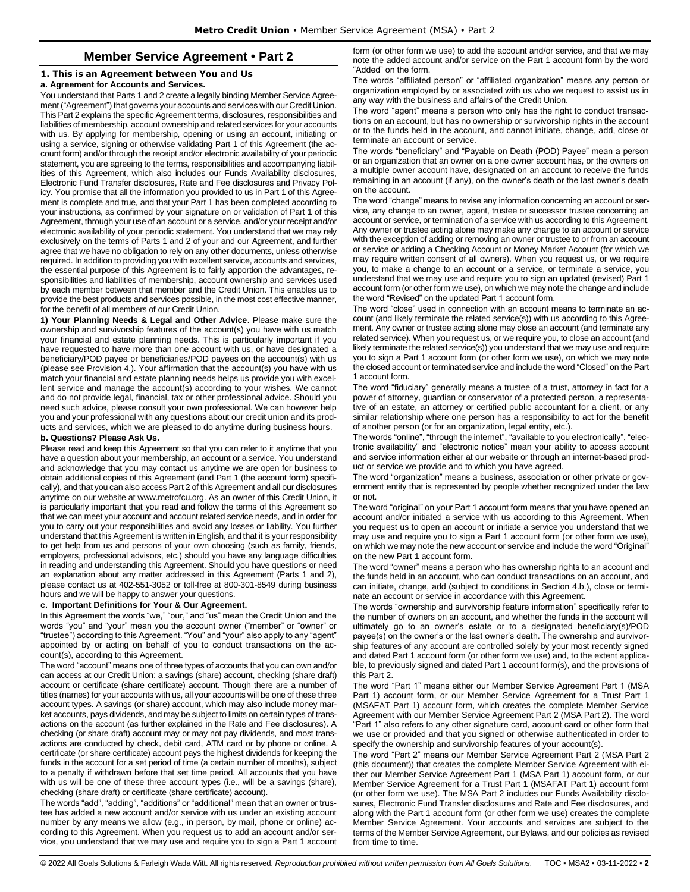# **Member Service Agreement • Part 2**

## <span id="page-1-1"></span><span id="page-1-0"></span>**1. This is an Agreement between You and Us**

#### **a. Agreement for Accounts and Services.**

You understand that Parts 1 and 2 create a legally binding Member Service Agreement ("Agreement") that governs your accounts and services with our Credit Union. This Part 2 explains the specific Agreement terms, disclosures, responsibilities and liabilities of membership, account ownership and related services for your accounts with us. By applying for membership, opening or using an account, initiating or using a service, signing or otherwise validating Part 1 of this Agreement (the account form) and/or through the receipt and/or electronic availability of your periodic statement, you are agreeing to the terms, responsibilities and accompanying liabilities of this Agreement, which also includes our Funds Availability disclosures, Electronic Fund Transfer disclosures, Rate and Fee disclosures and Privacy Policy. You promise that all the information you provided to us in Part 1 of this Agreement is complete and true, and that your Part 1 has been completed according to your instructions, as confirmed by your signature on or validation of Part 1 of this Agreement, through your use of an account or a service, and/or your receipt and/or electronic availability of your periodic statement. You understand that we may rely exclusively on the terms of Parts 1 and 2 of your and our Agreement, and further agree that we have no obligation to rely on any other documents, unless otherwise required. In addition to providing you with excellent service, accounts and services, the essential purpose of this Agreement is to fairly apportion the advantages, responsibilities and liabilities of membership, account ownership and services used by each member between that member and the Credit Union. This enables us to provide the best products and services possible, in the most cost effective manner, for the benefit of all members of our Credit Union.

**1) Your Planning Needs & Legal and Other Advice**. Please make sure the ownership and survivorship features of the account(s) you have with us match your financial and estate planning needs. This is particularly important if you have requested to have more than one account with us, or have designated a beneficiary/POD payee or beneficiaries/POD payees on the account(s) with us (please see Provision 4.). Your affirmation that the account(s) you have with us match your financial and estate planning needs helps us provide you with excellent service and manage the account(s) according to your wishes. We cannot and do not provide legal, financial, tax or other professional advice. Should you need such advice, please consult your own professional. We can however help you and your professional with any questions about our credit union and its products and services, which we are pleased to do anytime during business hours.

## **b. Questions? Please Ask Us.**

Please read and keep this Agreement so that you can refer to it anytime that you have a question about your membership, an account or a service. You understand and acknowledge that you may contact us anytime we are open for business to obtain additional copies of this Agreement (and Part 1 (the account form) specifically), and that you can also access Part 2 of this Agreement and all our disclosures anytime on our website at www.metrofcu.org. As an owner of this Credit Union, it is particularly important that you read and follow the terms of this Agreement so that we can meet your account and account related service needs, and in order for you to carry out your responsibilities and avoid any losses or liability. You further understand that this Agreement is written in English, and that it is your responsibility to get help from us and persons of your own choosing (such as family, friends, employers, professional advisors, etc.) should you have any language difficulties in reading and understanding this Agreement. Should you have questions or need an explanation about any matter addressed in this Agreement (Parts 1 and 2), please contact us at 402-551-3052 or toll-free at 800-301-8549 during business hours and we will be happy to answer your questions.

## **c. Important Definitions for Your & Our Agreement.**

In this Agreement the words "we," "our," and "us" mean the Credit Union and the words "you" and "your" mean you the account owner ("member" or "owner" or "trustee") according to this Agreement. "You" and "your" also apply to any "agent" appointed by or acting on behalf of you to conduct transactions on the account(s), according to this Agreement.

The word "account" means one of three types of accounts that you can own and/or can access at our Credit Union: a savings (share) account, checking (share draft) account or certificate (share certificate) account. Though there are a number of titles (names) for your accounts with us, all your accounts will be one of these three account types. A savings (or share) account, which may also include money market accounts, pays dividends, and may be subject to limits on certain types of transactions on the account (as further explained in the Rate and Fee disclosures). A checking (or share draft) account may or may not pay dividends, and most transactions are conducted by check, debit card, ATM card or by phone or online. A certificate (or share certificate) account pays the highest dividends for keeping the funds in the account for a set period of time (a certain number of months), subject to a penalty if withdrawn before that set time period. All accounts that you have with us will be one of these three account types (i.e., will be a savings (share), checking (share draft) or certificate (share certificate) account).

The words "add", "adding", "additions" or "additional" mean that an owner or trustee has added a new account and/or service with us under an existing account number by any means we allow (e.g., in person, by mail, phone or online) according to this Agreement. When you request us to add an account and/or service, you understand that we may use and require you to sign a Part 1 account form (or other form we use) to add the account and/or service, and that we may note the added account and/or service on the Part 1 account form by the word "Added" on the form.

The words "affiliated person" or "affiliated organization" means any person or organization employed by or associated with us who we request to assist us in any way with the business and affairs of the Credit Union.

The word "agent" means a person who only has the right to conduct transactions on an account, but has no ownership or survivorship rights in the account or to the funds held in the account, and cannot initiate, change, add, close or terminate an account or service.

The words "beneficiary" and "Payable on Death (POD) Payee" mean a person or an organization that an owner on a one owner account has, or the owners on a multiple owner account have, designated on an account to receive the funds remaining in an account (if any), on the owner's death or the last owner's death on the account.

The word "change" means to revise any information concerning an account or service, any change to an owner, agent, trustee or successor trustee concerning an account or service, or termination of a service with us according to this Agreement. Any owner or trustee acting alone may make any change to an account or service with the exception of adding or removing an owner or trustee to or from an account or service or adding a Checking Account or Money Market Account (for which we may require written consent of all owners). When you request us, or we require you, to make a change to an account or a service, or terminate a service, you understand that we may use and require you to sign an updated (revised) Part 1 account form (or other form we use), on which we may note the change and include the word "Revised" on the updated Part 1 account form.

The word "close" used in connection with an account means to terminate an account (and likely terminate the related service(s)) with us according to this Agreement. Any owner or trustee acting alone may close an account (and terminate any related service). When you request us, or we require you, to close an account (and likely terminate the related service(s)) you understand that we may use and require you to sign a Part 1 account form (or other form we use), on which we may note the closed account or terminated service and include the word "Closed" on the Part 1 account form.

The word "fiduciary" generally means a trustee of a trust, attorney in fact for a power of attorney, guardian or conservator of a protected person, a representative of an estate, an attorney or certified public accountant for a client, or any similar relationship where one person has a responsibility to act for the benefit of another person (or for an organization, legal entity, etc.).

The words "online", "through the internet", "available to you electronically", "electronic availability" and "electronic notice" mean your ability to access account and service information either at our website or through an internet-based product or service we provide and to which you have agreed.

The word "organization" means a business, association or other private or government entity that is represented by people whether recognized under the law or not.

The word "original" on your Part 1 account form means that you have opened an account and/or initiated a service with us according to this Agreement. When you request us to open an account or initiate a service you understand that we may use and require you to sign a Part 1 account form (or other form we use), on which we may note the new account or service and include the word "Original" on the new Part 1 account form.

The word "owner" means a person who has ownership rights to an account and the funds held in an account, who can conduct transactions on an account, and can initiate, change, add (subject to conditions in Section 4.b.), close or terminate an account or service in accordance with this Agreement.

The words "ownership and survivorship feature information" specifically refer to the number of owners on an account, and whether the funds in the account will ultimately go to an owner's estate or to a designated beneficiary(s)/POD payee(s) on the owner's or the last owner's death. The ownership and survivorship features of any account are controlled solely by your most recently signed and dated Part 1 account form (or other form we use) and, to the extent applicable, to previously signed and dated Part 1 account form(s), and the provisions of this Part 2.

The word "Part 1" means either our Member Service Agreement Part 1 (MSA Part 1) account form, or our Member Service Agreement for a Trust Part 1 (MSAFAT Part 1) account form, which creates the complete Member Service Agreement with our Member Service Agreement Part 2 (MSA Part 2). The word "Part 1" also refers to any other signature card, account card or other form that we use or provided and that you signed or otherwise authenticated in order to specify the ownership and survivorship features of your account(s).

The word "Part 2" means our Member Service Agreement Part 2 (MSA Part 2 (this document)) that creates the complete Member Service Agreement with either our Member Service Agreement Part 1 (MSA Part 1) account form, or our Member Service Agreement for a Trust Part 1 (MSAFAT Part 1) account form (or other form we use). The MSA Part 2 includes our Funds Availability disclosures, Electronic Fund Transfer disclosures and Rate and Fee disclosures, and along with the Part 1 account form (or other form we use) creates the complete Member Service Agreement. Your accounts and services are subject to the terms of the Member Service Agreement, our Bylaws, and our policies as revised from time to time.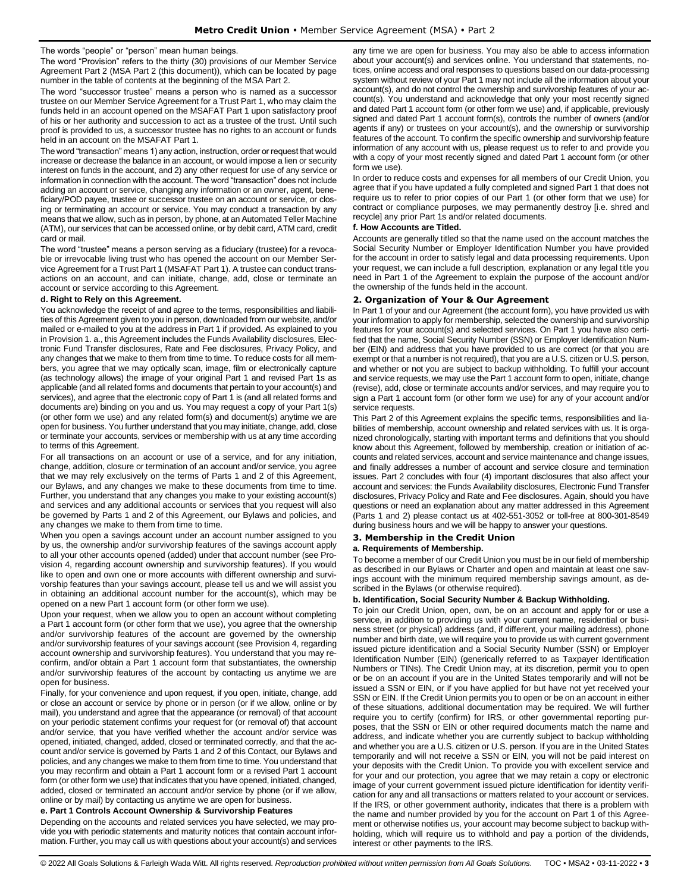#### The words "people" or "person" mean human beings.

The word "Provision" refers to the thirty (30) provisions of our Member Service Agreement Part 2 (MSA Part 2 (this document)), which can be located by page number in the table of contents at the beginning of the MSA Part 2.

The word "successor trustee" means a person who is named as a successor trustee on our Member Service Agreement for a Trust Part 1, who may claim the funds held in an account opened on the MSAFAT Part 1 upon satisfactory proof of his or her authority and succession to act as a trustee of the trust. Until such proof is provided to us, a successor trustee has no rights to an account or funds held in an account on the MSAFAT Part 1.

The word "transaction" means 1) any action, instruction, order or request that would increase or decrease the balance in an account, or would impose a lien or security interest on funds in the account, and 2) any other request for use of any service or information in connection with the account. The word "transaction" does not include adding an account or service, changing any information or an owner, agent, beneficiary/POD payee, trustee or successor trustee on an account or service, or closing or terminating an account or service. You may conduct a transaction by any means that we allow, such as in person, by phone, at an Automated Teller Machine (ATM), our services that can be accessed online, or by debit card, ATM card, credit card or mail.

The word "trustee" means a person serving as a fiduciary (trustee) for a revocable or irrevocable living trust who has opened the account on our Member Service Agreement for a Trust Part 1 (MSAFAT Part 1). A trustee can conduct transactions on an account, and can initiate, change, add, close or terminate an account or service according to this Agreement.

#### **d. Right to Rely on this Agreement.**

You acknowledge the receipt of and agree to the terms, responsibilities and liabilities of this Agreement given to you in person, downloaded from our website, and/or mailed or e-mailed to you at the address in Part 1 if provided. As explained to you in Provision 1. a., this Agreement includes the Funds Availability disclosures, Electronic Fund Transfer disclosures, Rate and Fee disclosures, Privacy Policy, and any changes that we make to them from time to time. To reduce costs for all members, you agree that we may optically scan, image, film or electronically capture (as technology allows) the image of your original Part 1 and revised Part 1s as applicable (and all related forms and documents that pertain to your account(s) and services), and agree that the electronic copy of Part 1 is (and all related forms and documents are) binding on you and us. You may request a copy of your Part 1(s) (or other form we use) and any related form(s) and document(s) anytime we are open for business. You further understand that you may initiate, change, add, close or terminate your accounts, services or membership with us at any time according to terms of this Agreement.

For all transactions on an account or use of a service, and for any initiation, change, addition, closure or termination of an account and/or service, you agree that we may rely exclusively on the terms of Parts 1 and 2 of this Agreement, our Bylaws, and any changes we make to these documents from time to time. Further, you understand that any changes you make to your existing account(s) and services and any additional accounts or services that you request will also be governed by Parts 1 and 2 of this Agreement, our Bylaws and policies, and any changes we make to them from time to time.

When you open a savings account under an account number assigned to you by us, the ownership and/or survivorship features of the savings account apply to all your other accounts opened (added) under that account number (see Provision 4, regarding account ownership and survivorship features). If you would like to open and own one or more accounts with different ownership and survivorship features than your savings account, please tell us and we will assist you in obtaining an additional account number for the account(s), which may be opened on a new Part 1 account form (or other form we use).

Upon your request, when we allow you to open an account without completing a Part 1 account form (or other form that we use), you agree that the ownership and/or survivorship features of the account are governed by the ownership and/or survivorship features of your savings account (see Provision 4, regarding account ownership and survivorship features). You understand that you may reconfirm, and/or obtain a Part 1 account form that substantiates, the ownership and/or survivorship features of the account by contacting us anytime we are open for business.

Finally, for your convenience and upon request, if you open, initiate, change, add or close an account or service by phone or in person (or if we allow, online or by mail), you understand and agree that the appearance (or removal) of that account on your periodic statement confirms your request for (or removal of) that account and/or service, that you have verified whether the account and/or service was opened, initiated, changed, added, closed or terminated correctly, and that the account and/or service is governed by Parts 1 and 2 of this Contact, our Bylaws and policies, and any changes we make to them from time to time. You understand that you may reconfirm and obtain a Part 1 account form or a revised Part 1 account form (or other form we use) that indicates that you have opened, initiated, changed, added, closed or terminated an account and/or service by phone (or if we allow, online or by mail) by contacting us anytime we are open for business.

**e. Part 1 Controls Account Ownership & Survivorship Features** 

Depending on the accounts and related services you have selected, we may provide you with periodic statements and maturity notices that contain account information. Further, you may call us with questions about your account(s) and services any time we are open for business. You may also be able to access information about your account(s) and services online. You understand that statements, notices, online access and oral responses to questions based on our data-processing system without review of your Part 1 may not include all the information about your account(s), and do not control the ownership and survivorship features of your account(s). You understand and acknowledge that only your most recently signed and dated Part 1 account form (or other form we use) and, if applicable, previously signed and dated Part 1 account form(s), controls the number of owners (and/or agents if any) or trustees on your account(s), and the ownership or survivorship features of the account. To confirm the specific ownership and survivorship feature information of any account with us, please request us to refer to and provide you with a copy of your most recently signed and dated Part 1 account form (or other form we use).

In order to reduce costs and expenses for all members of our Credit Union, you agree that if you have updated a fully completed and signed Part 1 that does not require us to refer to prior copies of our Part 1 (or other form that we use) for contract or compliance purposes, we may permanently destroy [i.e. shred and recycle] any prior Part 1s and/or related documents.

#### **f. How Accounts are Titled.**

Accounts are generally titled so that the name used on the account matches the Social Security Number or Employer Identification Number you have provided for the account in order to satisfy legal and data processing requirements. Upon your request, we can include a full description, explanation or any legal title you need in Part 1 of the Agreement to explain the purpose of the account and/or the ownership of the funds held in the account.

## <span id="page-2-0"></span>**2. Organization of Your & Our Agreement**

In Part 1 of your and our Agreement (the account form), you have provided us with your information to apply for membership, selected the ownership and survivorship features for your account(s) and selected services. On Part 1 you have also certified that the name, Social Security Number (SSN) or Employer Identification Number (EIN) and address that you have provided to us are correct (or that you are exempt or that a number is not required), that you are a U.S. citizen or U.S. person, and whether or not you are subject to backup withholding. To fulfill your account and service requests, we may use the Part 1 account form to open, initiate, change (revise), add, close or terminate accounts and/or services, and may require you to sign a Part 1 account form (or other form we use) for any of your account and/or service requests.

This Part 2 of this Agreement explains the specific terms, responsibilities and liabilities of membership, account ownership and related services with us. It is organized chronologically, starting with important terms and definitions that you should know about this Agreement, followed by membership, creation or initiation of accounts and related services, account and service maintenance and change issues, and finally addresses a number of account and service closure and termination issues. Part 2 concludes with four (4) important disclosures that also affect your account and services: the Funds Availability disclosures, Electronic Fund Transfer disclosures, Privacy Policy and Rate and Fee disclosures. Again, should you have questions or need an explanation about any matter addressed in this Agreement (Parts 1 and 2) please contact us at 402-551-3052 or toll-free at 800-301-8549 during business hours and we will be happy to answer your questions.

## <span id="page-2-1"></span>**3. Membership in the Credit Union**

### **a. Requirements of Membership.**

To become a member of our Credit Union you must be in our field of membership as described in our Bylaws or Charter and open and maintain at least one savings account with the minimum required membership savings amount, as described in the Bylaws (or otherwise required).

#### **b. Identification, Social Security Number & Backup Withholding.**

To join our Credit Union, open, own, be on an account and apply for or use a service, in addition to providing us with your current name, residential or business street (or physical) address (and, if different, your mailing address), phone number and birth date, we will require you to provide us with current government issued picture identification and a Social Security Number (SSN) or Employer Identification Number (EIN) (generically referred to as Taxpayer Identification Numbers or TINs). The Credit Union may, at its discretion, permit you to open or be on an account if you are in the United States temporarily and will not be issued a SSN or EIN, or if you have applied for but have not yet received your SSN or EIN. If the Credit Union permits you to open or be on an account in either of these situations, additional documentation may be required. We will further require you to certify (confirm) for IRS, or other governmental reporting purposes, that the SSN or EIN or other required documents match the name and address, and indicate whether you are currently subject to backup withholding and whether you are a U.S. citizen or U.S. person. If you are in the United States temporarily and will not receive a SSN or EIN, you will not be paid interest on your deposits with the Credit Union. To provide you with excellent service and for your and our protection, you agree that we may retain a copy or electronic image of your current government issued picture identification for identity verification for any and all transactions or matters related to your account or services. If the IRS, or other government authority, indicates that there is a problem with the name and number provided by you for the account on Part 1 of this Agreement or otherwise notifies us, your account may become subject to backup withholding, which will require us to withhold and pay a portion of the dividends, interest or other payments to the IRS.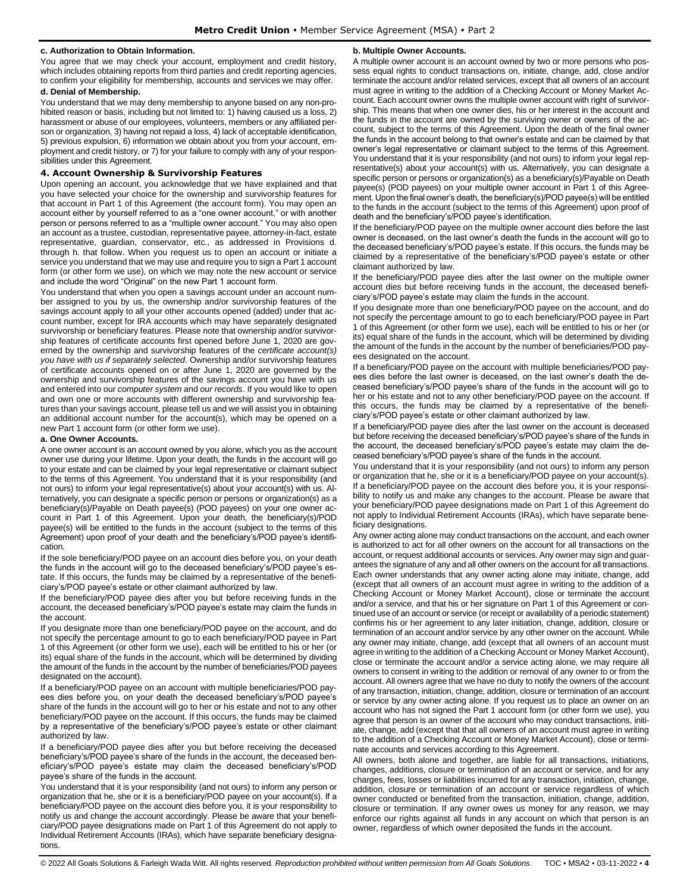## **c. Authorization to Obtain Information.**

You agree that we may check your account, employment and credit history, which includes obtaining reports from third parties and credit reporting agencies, to confirm your eligibility for membership, accounts and services we may offer.

## **d. Denial of Membership.**

You understand that we may deny membership to anyone based on any non-prohibited reason or basis, including but not limited to: 1) having caused us a loss, 2) harassment or abuse of our employees, volunteers, members or any affiliated person or organization, 3) having not repaid a loss, 4) lack of acceptable identification, 5) previous expulsion, 6) information we obtain about you from your account, employment and credit history, or 7) for your failure to comply with any of your responsibilities under this Agreement.

## <span id="page-3-0"></span>**4. Account Ownership & Survivorship Features**

Upon opening an account, you acknowledge that we have explained and that you have selected your choice for the ownership and survivorship features for that account in Part 1 of this Agreement (the account form). You may open an account either by yourself referred to as a "one owner account," or with another person or persons referred to as a "multiple owner account." You may also open an account as a trustee, custodian, representative payee, attorney-in-fact, estate representative, guardian, conservator, etc., as addressed in Provisions d. through h. that follow. When you request us to open an account or initiate a service you understand that we may use and require you to sign a Part 1 account form (or other form we use), on which we may note the new account or service and include the word "Original" on the new Part 1 account form.

You understand that when you open a savings account under an account number assigned to you by us, the ownership and/or survivorship features of the savings account apply to all your other accounts opened (added) under that account number, except for IRA accounts which may have separately designated survivorship or beneficiary features. Please note that ownership and/or survivorship features of certificate accounts first opened before June 1, 2020 are governed by the ownership and survivorship features of the *certificate account(s) you have with us if separately selected*. Ownership and/or survivorship features of certificate accounts opened on or after June 1, 2020 are governed by the ownership and survivorship features of the savings account you have with us and entered into our *computer system* and *our records*. If you would like to open and own one or more accounts with different ownership and survivorship features than your savings account, please tell us and we will assist you in obtaining an additional account number for the account(s), which may be opened on a new Part 1 account form (or other form we use).

#### **a. One Owner Accounts.**

A one owner account is an account owned by you alone, which you as the account owner use during your lifetime. Upon your death, the funds in the account will go to your estate and can be claimed by your legal representative or claimant subject to the terms of this Agreement. You understand that it is your responsibility (and not ours) to inform your legal representative(s) about your account(s) with us. Alternatively, you can designate a specific person or persons or organization(s) as a beneficiary(s)/Payable on Death payee(s) (POD payees) on your one owner account in Part 1 of this Agreement. Upon your death, the beneficiary(s)/POD payee(s) will be entitled to the funds in the account (subject to the terms of this Agreement) upon proof of your death and the beneficiary's/POD payee's identification.

If the sole beneficiary/POD payee on an account dies before you, on your death the funds in the account will go to the deceased beneficiary's/POD payee's estate. If this occurs, the funds may be claimed by a representative of the beneficiary's/POD payee's estate or other claimant authorized by law.

If the beneficiary/POD payee dies after you but before receiving funds in the account, the deceased beneficiary's/POD payee's estate may claim the funds in the account.

If you designate more than one beneficiary/POD payee on the account, and do not specify the percentage amount to go to each beneficiary/POD payee in Part 1 of this Agreement (or other form we use), each will be entitled to his or her (or its) equal share of the funds in the account, which will be determined by dividing the amount of the funds in the account by the number of beneficiaries/POD payees designated on the account).

If a beneficiary/POD payee on an account with multiple beneficiaries/POD payees dies before you, on your death the deceased beneficiary's/POD payee's share of the funds in the account will go to her or his estate and not to any other beneficiary/POD payee on the account. If this occurs, the funds may be claimed by a representative of the beneficiary's/POD payee's estate or other claimant authorized by law.

If a beneficiary/POD payee dies after you but before receiving the deceased beneficiary's/POD payee's share of the funds in the account, the deceased beneficiary's/POD payee's estate may claim the deceased beneficiary's/POD payee's share of the funds in the account.

You understand that it is your responsibility (and not ours) to inform any person or organization that he, she or it is a beneficiary/POD payee on your account(s). If a beneficiary/POD payee on the account dies before you, it is your responsibility to notify us and change the account accordingly. Please be aware that your beneficiary/POD payee designations made on Part 1 of this Agreement do not apply to Individual Retirement Accounts (IRAs), which have separate beneficiary designations.

#### **b. Multiple Owner Accounts.**

A multiple owner account is an account owned by two or more persons who possess equal rights to conduct transactions on, initiate, change, add, close and/or terminate the account and/or related services, except that all owners of an account must agree in writing to the addition of a Checking Account or Money Market Account. Each account owner owns the multiple owner account with right of survivorship. This means that when one owner dies, his or her interest in the account and the funds in the account are owned by the surviving owner or owners of the account, subject to the terms of this Agreement. Upon the death of the final owner the funds in the account belong to that owner's estate and can be claimed by that owner's legal representative or claimant subject to the terms of this Agreement. You understand that it is your responsibility (and not ours) to inform your legal representative(s) about your account(s) with us. Alternatively, you can designate a specific person or persons or organization(s) as a beneficiary(s)/Payable on Death payee(s) (POD payees) on your multiple owner account in Part 1 of this Agreement. Upon the final owner's death, the beneficiary(s)/POD payee(s) will be entitled to the funds in the account (subject to the terms of this Agreement) upon proof of death and the beneficiary's/POD payee's identification.

If the beneficiary/POD payee on the multiple owner account dies before the last owner is deceased, on the last owner's death the funds in the account will go to the deceased beneficiary's/POD payee's estate. If this occurs, the funds may be claimed by a representative of the beneficiary's/POD payee's estate or other claimant authorized by law.

If the beneficiary/POD payee dies after the last owner on the multiple owner account dies but before receiving funds in the account, the deceased beneficiary's/POD payee's estate may claim the funds in the account.

If you designate more than one beneficiary/POD payee on the account, and do not specify the percentage amount to go to each beneficiary/POD payee in Part 1 of this Agreement (or other form we use), each will be entitled to his or her (or its) equal share of the funds in the account, which will be determined by dividing the amount of the funds in the account by the number of beneficiaries/POD payees designated on the account.

If a beneficiary/POD payee on the account with multiple beneficiaries/POD payees dies before the last owner is deceased, on the last owner's death the deceased beneficiary's/POD payee's share of the funds in the account will go to her or his estate and not to any other beneficiary/POD payee on the account. If this occurs, the funds may be claimed by a representative of the beneficiary's/POD payee's estate or other claimant authorized by law.

If a beneficiary/POD payee dies after the last owner on the account is deceased but before receiving the deceased beneficiary's/POD payee's share of the funds in the account, the deceased beneficiary's/POD payee's estate may claim the deceased beneficiary's/POD payee's share of the funds in the account.

You understand that it is your responsibility (and not ours) to inform any person or organization that he, she or it is a beneficiary/POD payee on your account(s). If a beneficiary/POD payee on the account dies before you, it is your responsibility to notify us and make any changes to the account. Please be aware that your beneficiary/POD payee designations made on Part 1 of this Agreement do not apply to Individual Retirement Accounts (IRAs), which have separate beneficiary designations.

Any owner acting alone may conduct transactions on the account, and each owner is authorized to act for all other owners on the account for all transactions on the account, or request additional accounts or services. Any owner may sign and guarantees the signature of any and all other owners on the account for all transactions. Each owner understands that any owner acting alone may initiate, change, add (except that all owners of an account must agree in writing to the addition of a Checking Account or Money Market Account), close or terminate the account and/or a service, and that his or her signature on Part 1 of this Agreement or continued use of an account or service (or receipt or availability of a periodic statement) confirms his or her agreement to any later initiation, change, addition, closure or termination of an account and/or service by any other owner on the account. While any owner may initiate, change, add (except that all owners of an account must agree in writing to the addition of a Checking Account or Money Market Account), close or terminate the account and/or a service acting alone, we may require all owners to consent in writing to the addition or removal of any owner to or from the account. All owners agree that we have no duty to notify the owners of the account of any transaction, initiation, change, addition, closure or termination of an account or service by any owner acting alone. If you request us to place an owner on an account who has not signed the Part 1 account form (or other form we use), you agree that person is an owner of the account who may conduct transactions, initiate, change, add (except that that all owners of an account must agree in writing to the addition of a Checking Account or Money Market Account), close or terminate accounts and services according to this Agreement.

All owners, both alone and together, are liable for all transactions, initiations, changes, additions, closure or termination of an account or service, and for any charges, fees, losses or liabilities incurred for any transaction, initiation, change, addition, closure or termination of an account or service regardless of which owner conducted or benefited from the transaction, initiation, change, addition, closure or termination. If any owner owes us money for any reason, we may enforce our rights against all funds in any account on which that person is an owner, regardless of which owner deposited the funds in the account.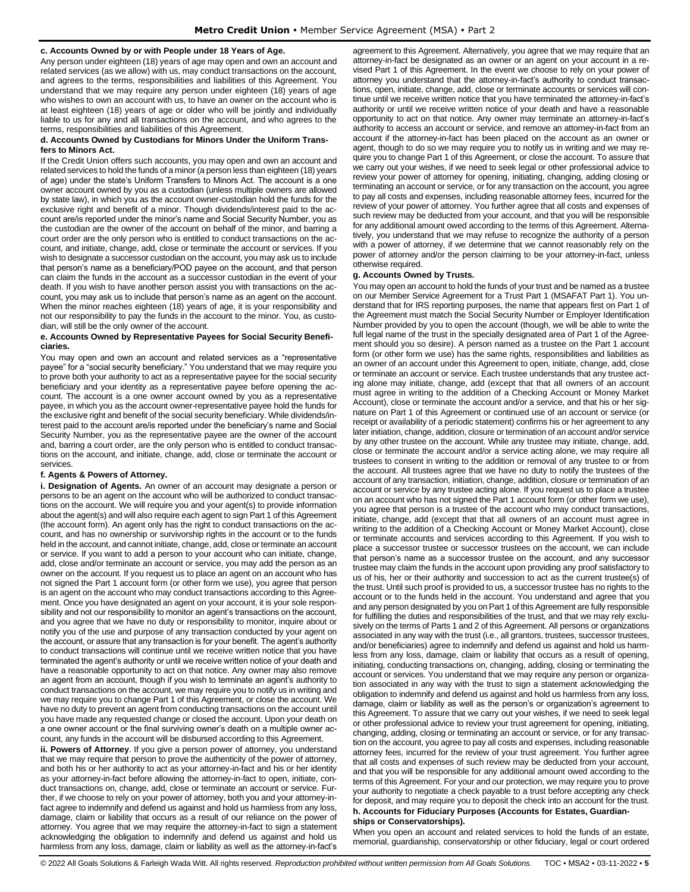### **c. Accounts Owned by or with People under 18 Years of Age.**

Any person under eighteen (18) years of age may open and own an account and related services (as we allow) with us, may conduct transactions on the account, and agrees to the terms, responsibilities and liabilities of this Agreement. You understand that we may require any person under eighteen (18) years of age who wishes to own an account with us, to have an owner on the account who is at least eighteen (18) years of age or older who will be jointly and individually liable to us for any and all transactions on the account, and who agrees to the terms, responsibilities and liabilities of this Agreement.

### **d. Accounts Owned by Custodians for Minors Under the Uniform Transfers to Minors Act.**

If the Credit Union offers such accounts, you may open and own an account and related services to hold the funds of a minor (a person less than eighteen (18) years of age) under the state's Uniform Transfers to Minors Act. The account is a one owner account owned by you as a custodian (unless multiple owners are allowed by state law), in which you as the account owner-custodian hold the funds for the exclusive right and benefit of a minor. Though dividends/interest paid to the account are/is reported under the minor's name and Social Security Number, you as the custodian are the owner of the account on behalf of the minor, and barring a court order are the only person who is entitled to conduct transactions on the account, and initiate, change, add, close or terminate the account or services. If you wish to designate a successor custodian on the account, you may ask us to include that person's name as a beneficiary/POD payee on the account, and that person can claim the funds in the account as a successor custodian in the event of your death. If you wish to have another person assist you with transactions on the account, you may ask us to include that person's name as an agent on the account. When the minor reaches eighteen (18) years of age, it is your responsibility and not our responsibility to pay the funds in the account to the minor. You, as custodian, will still be the only owner of the account.

#### **e. Accounts Owned by Representative Payees for Social Security Beneficiaries.**

You may open and own an account and related services as a "representative payee" for a "social security beneficiary." You understand that we may require you to prove both your authority to act as a representative payee for the social security beneficiary and your identity as a representative payee before opening the account. The account is a one owner account owned by you as a representative payee, in which you as the account owner-representative payee hold the funds for the exclusive right and benefit of the social security beneficiary. While dividends/interest paid to the account are/is reported under the beneficiary's name and Social Security Number, you as the representative payee are the owner of the account and, barring a court order, are the only person who is entitled to conduct transactions on the account, and initiate, change, add, close or terminate the account or services.

## **f. Agents & Powers of Attorney.**

**i. Designation of Agents.** An owner of an account may designate a person or persons to be an agent on the account who will be authorized to conduct transactions on the account. We will require you and your agent(s) to provide information about the agent(s) and will also require each agent to sign Part 1 of this Agreement (the account form). An agent only has the right to conduct transactions on the account, and has no ownership or survivorship rights in the account or to the funds held in the account, and cannot initiate, change, add, close or terminate an account or service. If you want to add a person to your account who can initiate, change, add, close and/or terminate an account or service, you may add the person as an owner on the account. If you request us to place an agent on an account who has not signed the Part 1 account form (or other form we use), you agree that person is an agent on the account who may conduct transactions according to this Agreement. Once you have designated an agent on your account, it is your sole responsibility and not our responsibility to monitor an agent's transactions on the account, and you agree that we have no duty or responsibility to monitor, inquire about or notify you of the use and purpose of any transaction conducted by your agent on the account, or assure that any transaction is for your benefit. The agent's authority to conduct transactions will continue until we receive written notice that you have terminated the agent's authority or until we receive written notice of your death and have a reasonable opportunity to act on that notice. Any owner may also remove an agent from an account, though if you wish to terminate an agent's authority to conduct transactions on the account, we may require you to notify us in writing and we may require you to change Part 1 of this Agreement, or close the account. We have no duty to prevent an agent from conducting transactions on the account until you have made any requested change or closed the account. Upon your death on a one owner account or the final surviving owner's death on a multiple owner account, any funds in the account will be disbursed according to this Agreement.

**ii. Powers of Attorney**. If you give a person power of attorney, you understand that we may require that person to prove the authenticity of the power of attorney, and both his or her authority to act as your attorney-in-fact and his or her identity as your attorney-in-fact before allowing the attorney-in-fact to open, initiate, conduct transactions on, change, add, close or terminate an account or service. Further, if we choose to rely on your power of attorney, both you and your attorney-infact agree to indemnify and defend us against and hold us harmless from any loss, damage, claim or liability that occurs as a result of our reliance on the power of attorney. You agree that we may require the attorney-in-fact to sign a statement acknowledging the obligation to indemnify and defend us against and hold us harmless from any loss, damage, claim or liability as well as the attorney-in-fact's

agreement to this Agreement. Alternatively, you agree that we may require that an attorney-in-fact be designated as an owner or an agent on your account in a revised Part 1 of this Agreement. In the event we choose to rely on your power of attorney you understand that the attorney-in-fact's authority to conduct transactions, open, initiate, change, add, close or terminate accounts or services will continue until we receive written notice that you have terminated the attorney-in-fact's authority or until we receive written notice of your death and have a reasonable opportunity to act on that notice. Any owner may terminate an attorney-in-fact's authority to access an account or service, and remove an attorney-in-fact from an account if the attorney-in-fact has been placed on the account as an owner or agent, though to do so we may require you to notify us in writing and we may require you to change Part 1 of this Agreement, or close the account. To assure that we carry out your wishes, if we need to seek legal or other professional advice to review your power of attorney for opening, initiating, changing, adding closing or terminating an account or service, or for any transaction on the account, you agree to pay all costs and expenses, including reasonable attorney fees, incurred for the review of your power of attorney. You further agree that all costs and expenses of such review may be deducted from your account, and that you will be responsible for any additional amount owed according to the terms of this Agreement. Alternatively, you understand that we may refuse to recognize the authority of a person with a power of attorney, if we determine that we cannot reasonably rely on the power of attorney and/or the person claiming to be your attorney-in-fact, unless otherwise required.

## **g. Accounts Owned by Trusts.**

You may open an account to hold the funds of your trust and be named as a trustee on our Member Service Agreement for a Trust Part 1 (MSAFAT Part 1). You understand that for IRS reporting purposes, the name that appears first on Part 1 of the Agreement must match the Social Security Number or Employer Identification Number provided by you to open the account (though, we will be able to write the full legal name of the trust in the specially designated area of Part 1 of the Agreement should you so desire). A person named as a trustee on the Part 1 account form (or other form we use) has the same rights, responsibilities and liabilities as an owner of an account under this Agreement to open, initiate, change, add, close or terminate an account or service. Each trustee understands that any trustee acting alone may initiate, change, add (except that that all owners of an account must agree in writing to the addition of a Checking Account or Money Market Account), close or terminate the account and/or a service, and that his or her signature on Part 1 of this Agreement or continued use of an account or service (or receipt or availability of a periodic statement) confirms his or her agreement to any later initiation, change, addition, closure or termination of an account and/or service by any other trustee on the account. While any trustee may initiate, change, add, close or terminate the account and/or a service acting alone, we may require all trustees to consent in writing to the addition or removal of any trustee to or from the account. All trustees agree that we have no duty to notify the trustees of the account of any transaction, initiation, change, addition, closure or termination of an account or service by any trustee acting alone. If you request us to place a trustee on an account who has not signed the Part 1 account form (or other form we use), you agree that person is a trustee of the account who may conduct transactions, initiate, change, add (except that that all owners of an account must agree in writing to the addition of a Checking Account or Money Market Account), close or terminate accounts and services according to this Agreement. If you wish to place a successor trustee or successor trustees on the account, we can include that person's name as a successor trustee on the account, and any successor trustee may claim the funds in the account upon providing any proof satisfactory to us of his, her or their authority and succession to act as the current trustee(s) of the trust. Until such proof is provided to us, a successor trustee has no rights to the account or to the funds held in the account. You understand and agree that you and any person designated by you on Part 1 of this Agreement are fully responsible for fulfilling the duties and responsibilities of the trust, and that we may rely exclusively on the terms of Parts 1 and 2 of this Agreement. All persons or organizations associated in any way with the trust (i.e., all grantors, trustees, successor trustees, and/or beneficiaries) agree to indemnify and defend us against and hold us harmless from any loss, damage, claim or liability that occurs as a result of opening, initiating, conducting transactions on, changing, adding, closing or terminating the account or services. You understand that we may require any person or organization associated in any way with the trust to sign a statement acknowledging the obligation to indemnify and defend us against and hold us harmless from any loss, damage, claim or liability as well as the person's or organization's agreement to this Agreement. To assure that we carry out your wishes, if we need to seek legal or other professional advice to review your trust agreement for opening, initiating, changing, adding, closing or terminating an account or service, or for any transaction on the account, you agree to pay all costs and expenses, including reasonable attorney fees, incurred for the review of your trust agreement. You further agree that all costs and expenses of such review may be deducted from your account, and that you will be responsible for any additional amount owed according to the terms of this Agreement. For your and our protection, we may require you to prove your authority to negotiate a check payable to a trust before accepting any check for deposit, and may require you to deposit the check into an account for the trust. **h. Accounts for Fiduciary Purposes (Accounts for Estates, Guardianships or Conservatorships).** 

When you open an account and related services to hold the funds of an estate, memorial, guardianship, conservatorship or other fiduciary, legal or court ordered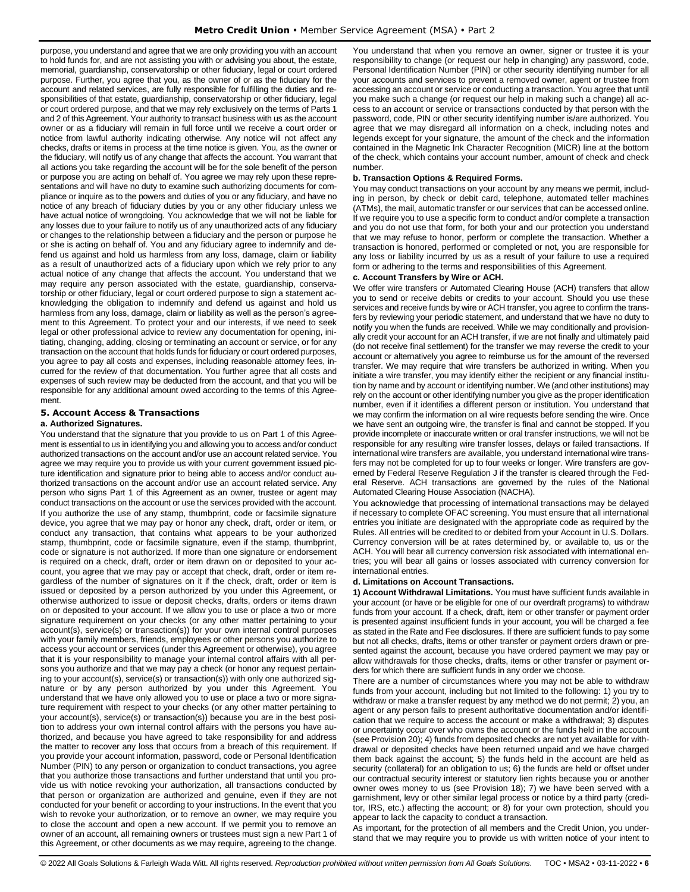purpose, you understand and agree that we are only providing you with an account to hold funds for, and are not assisting you with or advising you about, the estate, memorial, guardianship, conservatorship or other fiduciary, legal or court ordered purpose. Further, you agree that you, as the owner of or as the fiduciary for the account and related services, are fully responsible for fulfilling the duties and responsibilities of that estate, guardianship, conservatorship or other fiduciary, legal or court ordered purpose, and that we may rely exclusively on the terms of Parts 1 and 2 of this Agreement. Your authority to transact business with us as the account owner or as a fiduciary will remain in full force until we receive a court order or notice from lawful authority indicating otherwise. Any notice will not affect any checks, drafts or items in process at the time notice is given. You, as the owner or the fiduciary, will notify us of any change that affects the account. You warrant that all actions you take regarding the account will be for the sole benefit of the person or purpose you are acting on behalf of. You agree we may rely upon these representations and will have no duty to examine such authorizing documents for compliance or inquire as to the powers and duties of you or any fiduciary, and have no notice of any breach of fiduciary duties by you or any other fiduciary unless we have actual notice of wrongdoing. You acknowledge that we will not be liable for any losses due to your failure to notify us of any unauthorized acts of any fiduciary or changes to the relationship between a fiduciary and the person or purpose he or she is acting on behalf of. You and any fiduciary agree to indemnify and defend us against and hold us harmless from any loss, damage, claim or liability as a result of unauthorized acts of a fiduciary upon which we rely prior to any actual notice of any change that affects the account. You understand that we may require any person associated with the estate, guardianship, conservatorship or other fiduciary, legal or court ordered purpose to sign a statement acknowledging the obligation to indemnify and defend us against and hold us harmless from any loss, damage, claim or liability as well as the person's agreement to this Agreement. To protect your and our interests, if we need to seek legal or other professional advice to review any documentation for opening, initiating, changing, adding, closing or terminating an account or service, or for any transaction on the account that holds funds for fiduciary or court ordered purposes, you agree to pay all costs and expenses, including reasonable attorney fees, incurred for the review of that documentation. You further agree that all costs and expenses of such review may be deducted from the account, and that you will be responsible for any additional amount owed according to the terms of this Agreement.

## <span id="page-5-0"></span>**5. Account Access & Transactions**

## **a. Authorized Signatures.**

You understand that the signature that you provide to us on Part 1 of this Agreement is essential to us in identifying you and allowing you to access and/or conduct authorized transactions on the account and/or use an account related service. You agree we may require you to provide us with your current government issued picture identification and signature prior to being able to access and/or conduct authorized transactions on the account and/or use an account related service. Any person who signs Part 1 of this Agreement as an owner, trustee or agent may conduct transactions on the account or use the services provided with the account. If you authorize the use of any stamp, thumbprint, code or facsimile signature device, you agree that we may pay or honor any check, draft, order or item, or conduct any transaction, that contains what appears to be your authorized stamp, thumbprint, code or facsimile signature, even if the stamp, thumbprint, code or signature is not authorized. If more than one signature or endorsement is required on a check, draft, order or item drawn on or deposited to your account, you agree that we may pay or accept that check, draft, order or item regardless of the number of signatures on it if the check, draft, order or item is issued or deposited by a person authorized by you under this Agreement, or otherwise authorized to issue or deposit checks, drafts, orders or items drawn on or deposited to your account. If we allow you to use or place a two or more signature requirement on your checks (or any other matter pertaining to your account(s), service(s) or transaction(s)) for your own internal control purposes with your family members, friends, employees or other persons you authorize to access your account or services (under this Agreement or otherwise), you agree that it is your responsibility to manage your internal control affairs with all persons you authorize and that we may pay a check (or honor any request pertaining to your account(s), service(s) or transaction(s)) with only one authorized signature or by any person authorized by you under this Agreement. You understand that we have only allowed you to use or place a two or more signature requirement with respect to your checks (or any other matter pertaining to your account(s), service(s) or transaction(s)) because you are in the best position to address your own internal control affairs with the persons you have authorized, and because you have agreed to take responsibility for and address the matter to recover any loss that occurs from a breach of this requirement. If you provide your account information, password, code or Personal Identification Number (PIN) to any person or organization to conduct transactions, you agree that you authorize those transactions and further understand that until you provide us with notice revoking your authorization, all transactions conducted by that person or organization are authorized and genuine, even if they are not conducted for your benefit or according to your instructions. In the event that you wish to revoke your authorization, or to remove an owner, we may require you to close the account and open a new account. If we permit you to remove an owner of an account, all remaining owners or trustees must sign a new Part 1 of this Agreement, or other documents as we may require, agreeing to the change.

You understand that when you remove an owner, signer or trustee it is your responsibility to change (or request our help in changing) any password, code, Personal Identification Number (PIN) or other security identifying number for all your accounts and services to prevent a removed owner, agent or trustee from accessing an account or service or conducting a transaction. You agree that until you make such a change (or request our help in making such a change) all access to an account or service or transactions conducted by that person with the password, code, PIN or other security identifying number is/are authorized. You agree that we may disregard all information on a check, including notes and legends except for your signature, the amount of the check and the information contained in the Magnetic Ink Character Recognition (MICR) line at the bottom of the check, which contains your account number, amount of check and check number.

## **b. Transaction Options & Required Forms.**

You may conduct transactions on your account by any means we permit, including in person, by check or debit card, telephone, automated teller machines (ATMs), the mail, automatic transfer or our services that can be accessed online. If we require you to use a specific form to conduct and/or complete a transaction and you do not use that form, for both your and our protection you understand that we may refuse to honor, perform or complete the transaction. Whether a transaction is honored, performed or completed or not, you are responsible for any loss or liability incurred by us as a result of your failure to use a required form or adhering to the terms and responsibilities of this Agreement.

## **c. Account Transfers by Wire or ACH.**

We offer wire transfers or Automated Clearing House (ACH) transfers that allow you to send or receive debits or credits to your account. Should you use these services and receive funds by wire or ACH transfer, you agree to confirm the transfers by reviewing your periodic statement, and understand that we have no duty to notify you when the funds are received. While we may conditionally and provisionally credit your account for an ACH transfer, if we are not finally and ultimately paid (do not receive final settlement) for the transfer we may reverse the credit to your account or alternatively you agree to reimburse us for the amount of the reversed transfer. We may require that wire transfers be authorized in writing. When you initiate a wire transfer, you may identify either the recipient or any financial institution by name and by account or identifying number. We (and other institutions) may rely on the account or other identifying number you give as the proper identification number, even if it identifies a different person or institution. You understand that we may confirm the information on all wire requests before sending the wire. Once we have sent an outgoing wire, the transfer is final and cannot be stopped. If you provide incomplete or inaccurate written or oral transfer instructions, we will not be responsible for any resulting wire transfer losses, delays or failed transactions. If international wire transfers are available, you understand international wire transfers may not be completed for up to four weeks or longer. Wire transfers are governed by Federal Reserve Regulation J if the transfer is cleared through the Federal Reserve. ACH transactions are governed by the rules of the National Automated Clearing House Association (NACHA).

You acknowledge that processing of international transactions may be delayed if necessary to complete OFAC screening. You must ensure that all international entries you initiate are designated with the appropriate code as required by the Rules. All entries will be credited to or debited from your Account in U.S. Dollars. Currency conversion will be at rates determined by, or available to, us or the ACH. You will bear all currency conversion risk associated with international entries; you will bear all gains or losses associated with currency conversion for international entries.

#### **d. Limitations on Account Transactions.**

**1) Account Withdrawal Limitations.** You must have sufficient funds available in your account (or have or be eligible for one of our overdraft programs) to withdraw funds from your account. If a check, draft, item or other transfer or payment order is presented against insufficient funds in your account, you will be charged a fee as stated in the Rate and Fee disclosures. If there are sufficient funds to pay some but not all checks, drafts, items or other transfer or payment orders drawn or presented against the account, because you have ordered payment we may pay or allow withdrawals for those checks, drafts, items or other transfer or payment orders for which there are sufficient funds in any order we choose.

There are a number of circumstances where you may not be able to withdraw funds from your account, including but not limited to the following: 1) you try to withdraw or make a transfer request by any method we do not permit; 2) you, an agent or any person fails to present authoritative documentation and/or identification that we require to access the account or make a withdrawal; 3) disputes or uncertainty occur over who owns the account or the funds held in the account (see Provision 20); 4) funds from deposited checks are not yet available for withdrawal or deposited checks have been returned unpaid and we have charged them back against the account; 5) the funds held in the account are held as security (collateral) for an obligation to us; 6) the funds are held or offset under our contractual security interest or statutory lien rights because you or another owner owes money to us (see Provision 18); 7) we have been served with a garnishment, levy or other similar legal process or notice by a third party (creditor, IRS, etc.) affecting the account; or 8) for your own protection, should you appear to lack the capacity to conduct a transaction.

As important, for the protection of all members and the Credit Union, you understand that we may require you to provide us with written notice of your intent to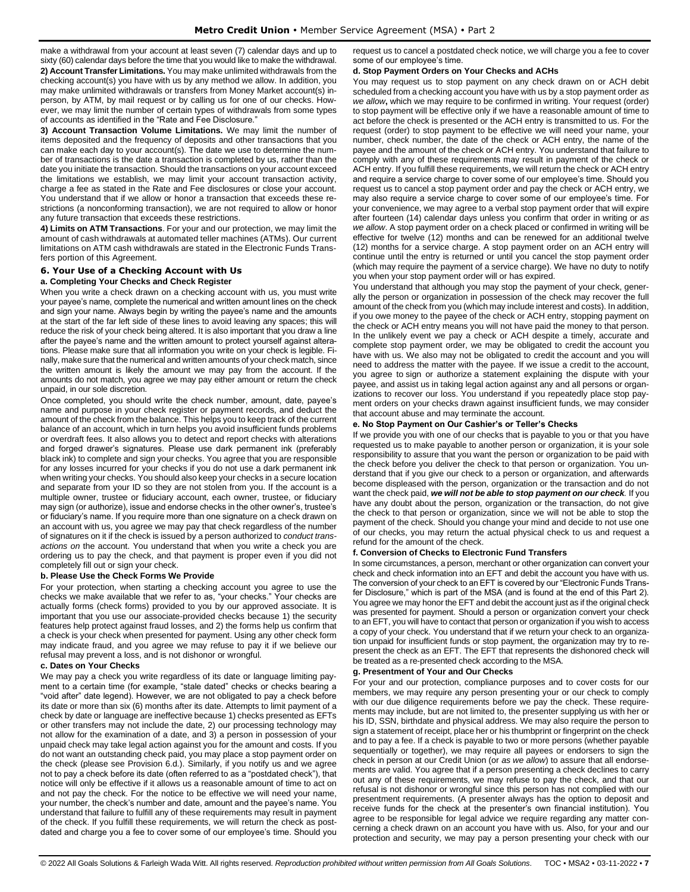make a withdrawal from your account at least seven (7) calendar days and up to

sixty (60) calendar days before the time that you would like to make the withdrawal. **2) Account Transfer Limitations.** You may make unlimited withdrawals from the checking account(s) you have with us by any method we allow. In addition, you may make unlimited withdrawals or transfers from Money Market account(s) inperson, by ATM, by mail request or by calling us for one of our checks. However, we may limit the number of certain types of withdrawals from some types of accounts as identified in the "Rate and Fee Disclosure."

**3) Account Transaction Volume Limitations.** We may limit the number of items deposited and the frequency of deposits and other transactions that you can make each day to your account(s). The date we use to determine the number of transactions is the date a transaction is completed by us, rather than the date you initiate the transaction. Should the transactions on your account exceed the limitations we establish, we may limit your account transaction activity, charge a fee as stated in the Rate and Fee disclosures or close your account. You understand that if we allow or honor a transaction that exceeds these restrictions (a nonconforming transaction), we are not required to allow or honor any future transaction that exceeds these restrictions.

**4) Limits on ATM Transactions**. For your and our protection, we may limit the amount of cash withdrawals at automated teller machines (ATMs). Our current limitations on ATM cash withdrawals are stated in the Electronic Funds Transfers portion of this Agreement.

## <span id="page-6-0"></span>**6. Your Use of a Checking Account with Us**

#### **a. Completing Your Checks and Check Register**

When you write a check drawn on a checking account with us, you must write your payee's name, complete the numerical and written amount lines on the check and sign your name. Always begin by writing the payee's name and the amounts at the start of the far left side of these lines to avoid leaving any spaces; this will reduce the risk of your check being altered. It is also important that you draw a line after the payee's name and the written amount to protect yourself against alterations. Please make sure that all information you write on your check is legible. Finally, make sure that the numerical and written amounts of your check match, since the written amount is likely the amount we may pay from the account. If the amounts do not match, you agree we may pay either amount or return the check unpaid, in our sole discretion.

Once completed, you should write the check number, amount, date, payee's name and purpose in your check register or payment records, and deduct the amount of the check from the balance. This helps you to keep track of the current balance of an account, which in turn helps you avoid insufficient funds problems or overdraft fees. It also allows you to detect and report checks with alterations and forged drawer's signatures. Please use dark permanent ink (preferably black ink) to complete and sign your checks. You agree that you are responsible for any losses incurred for your checks if you do not use a dark permanent ink when writing your checks. You should also keep your checks in a secure location and separate from your ID so they are not stolen from you. If the account is a multiple owner, trustee or fiduciary account, each owner, trustee, or fiduciary may sign (or authorize), issue and endorse checks in the other owner's, trustee's or fiduciary's name. If you require more than one signature on a check drawn on an account with us, you agree we may pay that check regardless of the number of signatures on it if the check is issued by a person authorized to *conduct transactions on* the account. You understand that when you write a check you are ordering us to pay the check, and that payment is proper even if you did not completely fill out or sign your check.

## **b. Please Use the Check Forms We Provide**

For your protection, when starting a checking account you agree to use the checks we make available that we refer to as, "your checks." Your checks are actually forms (check forms) provided to you by our approved associate. It is important that you use our associate-provided checks because 1) the security features help protect against fraud losses, and 2) the forms help us confirm that a check is your check when presented for payment. Using any other check form may indicate fraud, and you agree we may refuse to pay it if we believe our refusal may prevent a loss, and is not dishonor or wrongful.

#### **c. Dates on Your Checks**

We may pay a check you write regardless of its date or language limiting payment to a certain time (for example, "stale dated" checks or checks bearing a "void after" date legend). However, we are not obligated to pay a check before its date or more than six (6) months after its date. Attempts to limit payment of a check by date or language are ineffective because 1) checks presented as EFTs or other transfers may not include the date, 2) our processing technology may not allow for the examination of a date, and 3) a person in possession of your unpaid check may take legal action against you for the amount and costs. If you do not want an outstanding check paid, you may place a stop payment order on the check (please see Provision 6.d.). Similarly, if you notify us and we agree not to pay a check before its date (often referred to as a "postdated check"), that notice will only be effective if it allows us a reasonable amount of time to act on and not pay the check. For the notice to be effective we will need your name, your number, the check's number and date, amount and the payee's name. You understand that failure to fulfill any of these requirements may result in payment of the check. If you fulfill these requirements, we will return the check as postdated and charge you a fee to cover some of our employee's time. Should you request us to cancel a postdated check notice, we will charge you a fee to cover some of our employee's time.

#### **d. Stop Payment Orders on Your Checks and ACHs**

You may request us to stop payment on any check drawn on or ACH debit scheduled from a checking account you have with us by a stop payment order *as we allow***,** which we may require to be confirmed in writing. Your request (order) to stop payment will be effective only if we have a reasonable amount of time to act before the check is presented or the ACH entry is transmitted to us. For the request (order) to stop payment to be effective we will need your name, your number, check number, the date of the check or ACH entry, the name of the payee and the amount of the check or ACH entry. You understand that failure to comply with any of these requirements may result in payment of the check or ACH entry. If you fulfill these requirements, we will return the check or ACH entry and require a service charge to cover some of our employee's time. Should you request us to cancel a stop payment order and pay the check or ACH entry, we may also require a service charge to cover some of our employee's time. For your convenience, we may agree to a verbal stop payment order that will expire after fourteen (14) calendar days unless you confirm that order in writing or *as we allow*. A stop payment order on a check placed or confirmed in writing will be effective for twelve (12) months and can be renewed for an additional twelve (12) months for a service charge. A stop payment order on an ACH entry will continue until the entry is returned or until you cancel the stop payment order (which may require the payment of a service charge). We have no duty to notify you when your stop payment order will or has expired.

You understand that although you may stop the payment of your check, generally the person or organization in possession of the check may recover the full amount of the check from you (which may include interest and costs). In addition, if you owe money to the payee of the check or ACH entry, stopping payment on the check or ACH entry means you will not have paid the money to that person. In the unlikely event we pay a check or ACH despite a timely, accurate and complete stop payment order, we may be obligated to credit the account you have with us. We also may not be obligated to credit the account and you will need to address the matter with the payee. If we issue a credit to the account, you agree to sign or authorize a statement explaining the dispute with your payee, and assist us in taking legal action against any and all persons or organizations to recover our loss. You understand if you repeatedly place stop payment orders on your checks drawn against insufficient funds, we may consider that account abuse and may terminate the account.

#### **e. No Stop Payment on Our Cashier's or Teller's Checks**

If we provide you with one of our checks that is payable to you or that you have requested us to make payable to another person or organization, it is your sole responsibility to assure that you want the person or organization to be paid with the check before you deliver the check to that person or organization. You understand that if you give our check to a person or organization, and afterwards become displeased with the person, organization or the transaction and do not want the check paid, *we will not be able to stop payment on our check.* If you have any doubt about the person, organization or the transaction, do not give the check to that person or organization, since we will not be able to stop the payment of the check. Should you change your mind and decide to not use one of our checks, you may return the actual physical check to us and request a refund for the amount of the check.

#### **f. Conversion of Checks to Electronic Fund Transfers**

In some circumstances, a person, merchant or other organization can convert your check and check information into an EFT and debit the account you have with us. The conversion of your check to an EFT is covered by our "Electronic Funds Transfer Disclosure," which is part of the MSA (and is found at the end of this Part 2). You agree we may honor the EFT and debit the account just as if the original check was presented for payment. Should a person or organization convert your check to an EFT, you will have to contact that person or organization if you wish to access a copy of your check. You understand that if we return your check to an organization unpaid for insufficient funds or stop payment, the organization may try to represent the check as an EFT. The EFT that represents the dishonored check will be treated as a re-presented check according to the MSA.

#### **g. Presentment of Your and Our Checks**

For your and our protection, compliance purposes and to cover costs for our members, we may require any person presenting your or our check to comply with our due diligence requirements before we pay the check. These requirements may include, but are not limited to, the presenter supplying us with her or his ID, SSN, birthdate and physical address. We may also require the person to sign a statement of receipt, place her or his thumbprint or fingerprint on the check and to pay a fee. If a check is payable to two or more persons (whether payable sequentially or together), we may require all payees or endorsers to sign the check in person at our Credit Union (or *as we allow*) to assure that all endorsements are valid. You agree that if a person presenting a check declines to carry out any of these requirements, we may refuse to pay the check, and that our refusal is not dishonor or wrongful since this person has not complied with our presentment requirements. (A presenter always has the option to deposit and receive funds for the check at the presenter's own financial institution). You agree to be responsible for legal advice we require regarding any matter concerning a check drawn on an account you have with us. Also, for your and our protection and security, we may pay a person presenting your check with our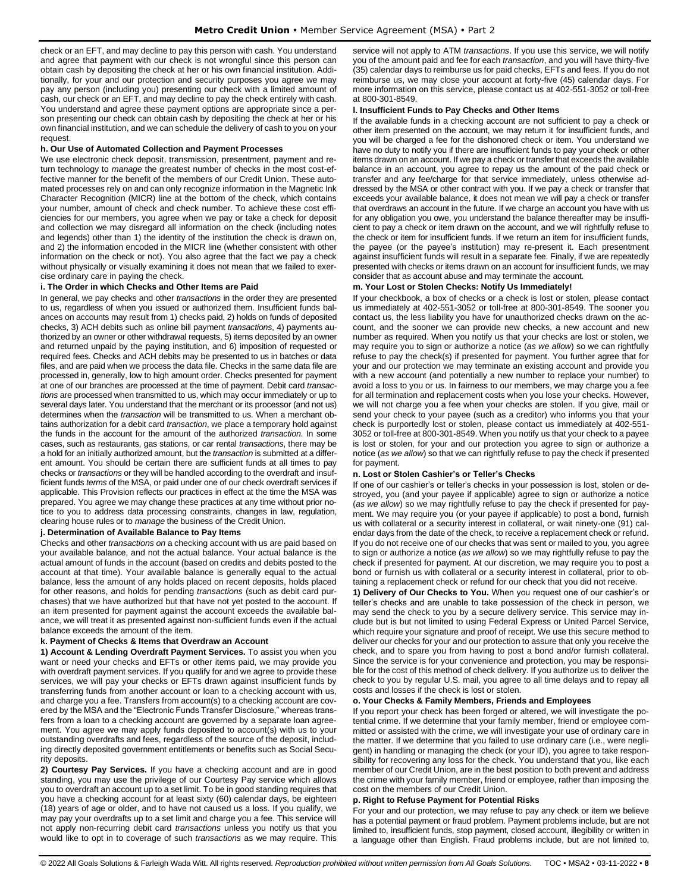check or an EFT, and may decline to pay this person with cash. You understand and agree that payment with our check is not wrongful since this person can obtain cash by depositing the check at her or his own financial institution. Additionally, for your and our protection and security purposes you agree we may pay any person (including you) presenting our check with a limited amount of cash, our check or an EFT, and may decline to pay the check entirely with cash. You understand and agree these payment options are appropriate since a person presenting our check can obtain cash by depositing the check at her or his own financial institution, and we can schedule the delivery of cash to you on your request.

## **h. Our Use of Automated Collection and Payment Processes**

We use electronic check deposit, transmission, presentment, payment and return technology to *manage* the greatest number of checks in the most cost-effective manner for the benefit of the members of our Credit Union. These automated processes rely on and can only recognize information in the Magnetic Ink Character Recognition (MICR) line at the bottom of the check, which contains your number, amount of check and check number. To achieve these cost efficiencies for our members, you agree when we pay or take a check for deposit and collection we may disregard all information on the check (including notes and legends) other than 1) the identity of the institution the check is drawn on, and 2) the information encoded in the MICR line (whether consistent with other information on the check or not). You also agree that the fact we pay a check without physically or visually examining it does not mean that we failed to exercise ordinary care in paying the check.

## **i. The Order in which Checks and Other Items are Paid**

In general, we pay checks and other *transactions* in the order they are presented to us, regardless of when you issued or authorized them. Insufficient funds balances on accounts may result from 1) checks paid, 2) holds on funds of deposited checks, 3) ACH debits such as online bill payment *transactions*, 4) payments authorized by an owner or other withdrawal requests, 5) items deposited by an owner and returned unpaid by the paying institution, and 6) imposition of requested or required fees. Checks and ACH debits may be presented to us in batches or data files, and are paid when we process the data file. Checks in the same data file are processed in, generally, low to high amount order. Checks presented for payment at one of our branches are processed at the time of payment. Debit card *transactions* are processed when transmitted to us, which may occur immediately or up to several days later. You understand that the merchant or its processor (and not us) determines when the *transaction* will be transmitted to us. When a merchant obtains authorization for a debit card *transaction*, we place a temporary hold against the funds in the account for the amount of the authorized *transaction*. In some cases, such as restaurants, gas stations, or car rental *transactions*, there may be a hold for an initially authorized amount, but the *transaction* is submitted at a different amount. You should be certain there are sufficient funds at all times to pay checks or *transactions* or they will be handled according to the overdraft and insufficient funds *terms* of the MSA, or paid under one of our check overdraft services if applicable. This Provision reflects our practices in effect at the time the MSA was prepared. You agree we may change these practices at any time without prior notice to you to address data processing constraints, changes in law, regulation, clearing house rules or to *manage* the business of the Credit Union.

#### **j. Determination of Available Balance to Pay Items**

Checks and other *transactions on* a checking account with us are paid based on your available balance, and not the actual balance. Your actual balance is the actual amount of funds in the account (based on credits and debits posted to the account at that time). Your available balance is generally equal to the actual balance, less the amount of any holds placed on recent deposits, holds placed for other reasons, and holds for pending *transactions* (such as debit card purchases) that we have authorized but that have not yet posted to the account. If an item presented for payment against the account exceeds the available balance, we will treat it as presented against non-sufficient funds even if the actual balance exceeds the amount of the item.

#### **k. Payment of Checks & Items that Overdraw an Account**

**1) Account & Lending Overdraft Payment Services.** To assist you when you want or need your checks and EFTs or other items paid, we may provide you with overdraft payment services. If you qualify for and we agree to provide these services, we will pay your checks or EFTs drawn against insufficient funds by transferring funds from another account or loan to a checking account with us, and charge you a fee. Transfers from account(s) to a checking account are covered by the MSA and the "Electronic Funds Transfer Disclosure," whereas transfers from a loan to a checking account are governed by a separate loan agreement. You agree we may apply funds deposited to account(s) with us to your outstanding overdrafts and fees, regardless of the source of the deposit, including directly deposited government entitlements or benefits such as Social Security deposits.

**2) Courtesy Pay Services.** If you have a checking account and are in good standing, you may use the privilege of our Courtesy Pay service which allows you to overdraft an account up to a set limit. To be in good standing requires that you have a checking account for at least sixty (60) calendar days, be eighteen (18) years of age or older, and to have not caused us a loss. If you qualify, we may pay your overdrafts up to a set limit and charge you a fee. This service will not apply non-recurring debit card *transactions* unless you notify us that you would like to opt in to coverage of such *transactions* as we may require. This service will not apply to ATM *transactions*. If you use this service, we will notify you of the amount paid and fee for each *transaction*, and you will have thirty-five (35) calendar days to reimburse us for paid checks, EFTs and fees. If you do not reimburse us, we may close your account at forty-five (45) calendar days. For more information on this service, please contact us at 402-551-3052 or toll-free at 800-301-8549.

## **l. Insufficient Funds to Pay Checks and Other Items**

If the available funds in a checking account are not sufficient to pay a check or other item presented on the account, we may return it for insufficient funds, and you will be charged a fee for the dishonored check or item. You understand we have no duty to notify you if there are insufficient funds to pay your check or other items drawn on an account. If we pay a check or transfer that exceeds the available balance in an account, you agree to repay us the amount of the paid check or transfer and any fee/charge for that service immediately, unless otherwise addressed by the MSA or other contract with you. If we pay a check or transfer that exceeds your available balance, it does not mean we will pay a check or transfer that overdraws an account in the future. If we charge an account you have with us for any obligation you owe, you understand the balance thereafter may be insufficient to pay a check or item drawn on the account, and we will rightfully refuse to the check or item for insufficient funds. If we return an item for insufficient funds, the payee (or the payee's institution) may re-present it. Each presentment against insufficient funds will result in a separate fee. Finally, if we are repeatedly presented with checks or items drawn on an account for insufficient funds, we may consider that as account abuse and may terminate the account.

## **m. Your Lost or Stolen Checks: Notify Us Immediately!**

If your checkbook, a box of checks or a check is lost or stolen, please contact us immediately at 402-551-3052 or toll-free at 800-301-8549. The sooner you contact us, the less liability you have for unauthorized checks drawn on the account, and the sooner we can provide new checks, a new account and new number as required. When you notify us that your checks are lost or stolen, we may require you to sign or authorize a notice (*as we allow*) so we can rightfully refuse to pay the check(s) if presented for payment. You further agree that for your and our protection we may terminate an existing account and provide you with a new account (and potentially a new number to replace your number) to avoid a loss to you or us. In fairness to our members, we may charge you a fee for all termination and replacement costs when you lose your checks. However, we will not charge you a fee when your checks are stolen. If you give, mail or send your check to your payee (such as a creditor) who informs you that your check is purportedly lost or stolen, please contact us immediately at 402-551- 3052 or toll-free at 800-301-8549. When you notify us that your check to a payee is lost or stolen, for your and our protection you agree to sign or authorize a notice (*as we allow*) so that we can rightfully refuse to pay the check if presented for payment.

## **n. Lost or Stolen Cashier's or Teller's Checks**

If one of our cashier's or teller's checks in your possession is lost, stolen or destroyed, you (and your payee if applicable) agree to sign or authorize a notice (*as we allow*) so we may rightfully refuse to pay the check if presented for payment. We may require you (or your payee if applicable) to post a bond, furnish us with collateral or a security interest in collateral, or wait ninety-one (91) calendar days from the date of the check, to receive a replacement check or refund. If you do not receive one of our checks that was sent or mailed to you, you agree to sign or authorize a notice (*as we allow*) so we may rightfully refuse to pay the check if presented for payment. At our discretion, we may require you to post a bond or furnish us with collateral or a security interest in collateral, prior to obtaining a replacement check or refund for our check that you did not receive.

**1) Delivery of Our Checks to You.** When you request one of our cashier's or teller's checks and are unable to take possession of the check in person, we may send the check to you by a secure delivery service. This service may include but is but not limited to using Federal Express or United Parcel Service, which require your signature and proof of receipt. We use this secure method to deliver our checks for your and our protection to assure that only you receive the check, and to spare you from having to post a bond and/or furnish collateral. Since the service is for your convenience and protection, you may be responsible for the cost of this method of check delivery. If you authorize us to deliver the check to you by regular U.S. mail, you agree to all time delays and to repay all costs and losses if the check is lost or stolen.

#### **o. Your Checks & Family Members, Friends and Employees**

If you report your check has been forged or altered, we will investigate the potential crime. If we determine that your family member, friend or employee committed or assisted with the crime, we will investigate your use of ordinary care in the matter. If we determine that you failed to use ordinary care (i.e., were negligent) in handling or managing the check (or your ID), you agree to take responsibility for recovering any loss for the check. You understand that you, like each member of our Credit Union, are in the best position to both prevent and address the crime with your family member, friend or employee, rather than imposing the cost on the members of our Credit Union.

## **p. Right to Refuse Payment for Potential Risks**

For your and our protection, we may refuse to pay any check or item we believe has a potential payment or fraud problem. Payment problems include, but are not limited to, insufficient funds, stop payment, closed account, illegibility or written in a language other than English. Fraud problems include, but are not limited to,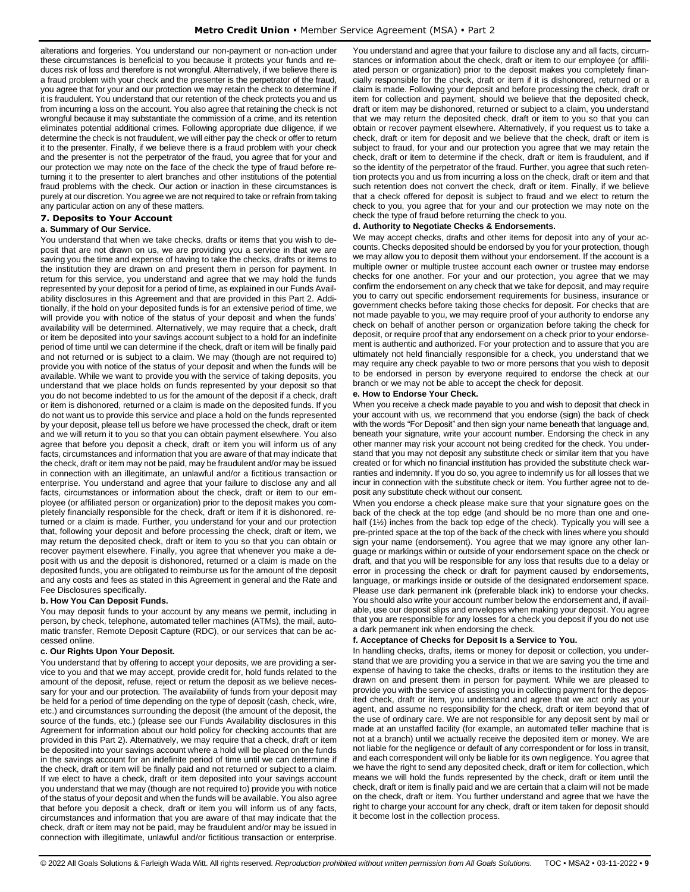alterations and forgeries. You understand our non-payment or non-action under these circumstances is beneficial to you because it protects your funds and reduces risk of loss and therefore is not wrongful. Alternatively, if we believe there is a fraud problem with your check and the presenter is the perpetrator of the fraud, you agree that for your and our protection we may retain the check to determine if it is fraudulent. You understand that our retention of the check protects you and us from incurring a loss on the account. You also agree that retaining the check is not wrongful because it may substantiate the commission of a crime, and its retention eliminates potential additional crimes. Following appropriate due diligence, if we determine the check is not fraudulent, we will either pay the check or offer to return it to the presenter. Finally, if we believe there is a fraud problem with your check and the presenter is not the perpetrator of the fraud, you agree that for your and our protection we may note on the face of the check the type of fraud before returning it to the presenter to alert branches and other institutions of the potential fraud problems with the check. Our action or inaction in these circumstances is purely at our discretion. You agree we are not required to take or refrain from taking any particular action on any of these matters.

## <span id="page-8-0"></span>**7. Deposits to Your Account**

## **a. Summary of Our Service.**

You understand that when we take checks, drafts or items that you wish to deposit that are not drawn on us, we are providing you a service in that we are saving you the time and expense of having to take the checks, drafts or items to the institution they are drawn on and present them in person for payment. In return for this service, you understand and agree that we may hold the funds represented by your deposit for a period of time, as explained in our Funds Availability disclosures in this Agreement and that are provided in this Part 2. Additionally, if the hold on your deposited funds is for an extensive period of time, we will provide you with notice of the status of your deposit and when the funds' availability will be determined. Alternatively, we may require that a check, draft or item be deposited into your savings account subject to a hold for an indefinite period of time until we can determine if the check, draft or item will be finally paid and not returned or is subject to a claim. We may (though are not required to) provide you with notice of the status of your deposit and when the funds will be available. While we want to provide you with the service of taking deposits, you understand that we place holds on funds represented by your deposit so that you do not become indebted to us for the amount of the deposit if a check, draft or item is dishonored, returned or a claim is made on the deposited funds. If you do not want us to provide this service and place a hold on the funds represented by your deposit, please tell us before we have processed the check, draft or item and we will return it to you so that you can obtain payment elsewhere. You also agree that before you deposit a check, draft or item you will inform us of any facts, circumstances and information that you are aware of that may indicate that the check, draft or item may not be paid, may be fraudulent and/or may be issued in connection with an illegitimate, an unlawful and/or a fictitious transaction or enterprise. You understand and agree that your failure to disclose any and all facts, circumstances or information about the check, draft or item to our employee (or affiliated person or organization) prior to the deposit makes you completely financially responsible for the check, draft or item if it is dishonored, returned or a claim is made. Further, you understand for your and our protection that, following your deposit and before processing the check, draft or item, we may return the deposited check, draft or item to you so that you can obtain or recover payment elsewhere. Finally, you agree that whenever you make a deposit with us and the deposit is dishonored, returned or a claim is made on the deposited funds, you are obligated to reimburse us for the amount of the deposit and any costs and fees as stated in this Agreement in general and the Rate and Fee Disclosures specifically.

## **b. How You Can Deposit Funds.**

You may deposit funds to your account by any means we permit, including in person, by check, telephone, automated teller machines (ATMs), the mail, automatic transfer, Remote Deposit Capture (RDC), or our services that can be accessed online.

## **c. Our Rights Upon Your Deposit.**

You understand that by offering to accept your deposits, we are providing a service to you and that we may accept, provide credit for, hold funds related to the amount of the deposit, refuse, reject or return the deposit as we believe necessary for your and our protection. The availability of funds from your deposit may be held for a period of time depending on the type of deposit (cash, check, wire, etc.) and circumstances surrounding the deposit (the amount of the deposit, the source of the funds, etc.) (please see our Funds Availability disclosures in this Agreement for information about our hold policy for checking accounts that are provided in this Part 2). Alternatively, we may require that a check, draft or item be deposited into your savings account where a hold will be placed on the funds in the savings account for an indefinite period of time until we can determine if the check, draft or item will be finally paid and not returned or subject to a claim. If we elect to have a check, draft or item deposited into your savings account you understand that we may (though are not required to) provide you with notice of the status of your deposit and when the funds will be available. You also agree that before you deposit a check, draft or item you will inform us of any facts, circumstances and information that you are aware of that may indicate that the check, draft or item may not be paid, may be fraudulent and/or may be issued in connection with illegitimate, unlawful and/or fictitious transaction or enterprise.

You understand and agree that your failure to disclose any and all facts, circumstances or information about the check, draft or item to our employee (or affiliated person or organization) prior to the deposit makes you completely financially responsible for the check, draft or item if it is dishonored, returned or a claim is made. Following your deposit and before processing the check, draft or item for collection and payment, should we believe that the deposited check, draft or item may be dishonored, returned or subject to a claim, you understand that we may return the deposited check, draft or item to you so that you can obtain or recover payment elsewhere. Alternatively, if you request us to take a check, draft or item for deposit and we believe that the check, draft or item is subject to fraud, for your and our protection you agree that we may retain the check, draft or item to determine if the check, draft or item is fraudulent, and if so the identity of the perpetrator of the fraud. Further, you agree that such retention protects you and us from incurring a loss on the check, draft or item and that such retention does not convert the check, draft or item. Finally, if we believe that a check offered for deposit is subject to fraud and we elect to return the check to you, you agree that for your and our protection we may note on the check the type of fraud before returning the check to you.

#### **d. Authority to Negotiate Checks & Endorsements.**

We may accept checks, drafts and other items for deposit into any of your accounts. Checks deposited should be endorsed by you for your protection, though we may allow you to deposit them without your endorsement. If the account is a multiple owner or multiple trustee account each owner or trustee may endorse checks for one another. For your and our protection, you agree that we may confirm the endorsement on any check that we take for deposit, and may require you to carry out specific endorsement requirements for business, insurance or government checks before taking those checks for deposit. For checks that are not made payable to you, we may require proof of your authority to endorse any check on behalf of another person or organization before taking the check for deposit, or require proof that any endorsement on a check prior to your endorsement is authentic and authorized. For your protection and to assure that you are ultimately not held financially responsible for a check, you understand that we may require any check payable to two or more persons that you wish to deposit to be endorsed in person by everyone required to endorse the check at our branch or we may not be able to accept the check for deposit.

## **e. How to Endorse Your Check.**

When you receive a check made payable to you and wish to deposit that check in your account with us, we recommend that you endorse (sign) the back of check with the words "For Deposit" and then sign your name beneath that language and, beneath your signature, write your account number. Endorsing the check in any other manner may risk your account not being credited for the check. You understand that you may not deposit any substitute check or similar item that you have created or for which no financial institution has provided the substitute check warranties and indemnity. If you do so, you agree to indemnify us for all losses that we incur in connection with the substitute check or item. You further agree not to deposit any substitute check without our consent.

When you endorse a check please make sure that your signature goes on the back of the check at the top edge (and should be no more than one and onehalf (1<sup>1</sup>/<sub>2</sub>) inches from the back top edge of the check). Typically you will see a pre-printed space at the top of the back of the check with lines where you should sign your name (endorsement). You agree that we may ignore any other language or markings within or outside of your endorsement space on the check or draft, and that you will be responsible for any loss that results due to a delay or error in processing the check or draft for payment caused by endorsements, language, or markings inside or outside of the designated endorsement space. Please use dark permanent ink (preferable black ink) to endorse your checks. You should also write your account number below the endorsement and, if available, use our deposit slips and envelopes when making your deposit. You agree that you are responsible for any losses for a check you deposit if you do not use a dark permanent ink when endorsing the check.

#### **f. Acceptance of Checks for Deposit Is a Service to You.**

In handling checks, drafts, items or money for deposit or collection, you understand that we are providing you a service in that we are saving you the time and expense of having to take the checks, drafts or items to the institution they are drawn on and present them in person for payment. While we are pleased to provide you with the service of assisting you in collecting payment for the deposited check, draft or item, you understand and agree that we act only as your agent, and assume no responsibility for the check, draft or item beyond that of the use of ordinary care. We are not responsible for any deposit sent by mail or made at an unstaffed facility (for example, an automated teller machine that is not at a branch) until we actually receive the deposited item or money. We are not liable for the negligence or default of any correspondent or for loss in transit, and each correspondent will only be liable for its own negligence. You agree that we have the right to send any deposited check, draft or item for collection, which means we will hold the funds represented by the check, draft or item until the check, draft or item is finally paid and we are certain that a claim will not be made on the check, draft or item. You further understand and agree that we have the right to charge your account for any check, draft or item taken for deposit should it become lost in the collection process.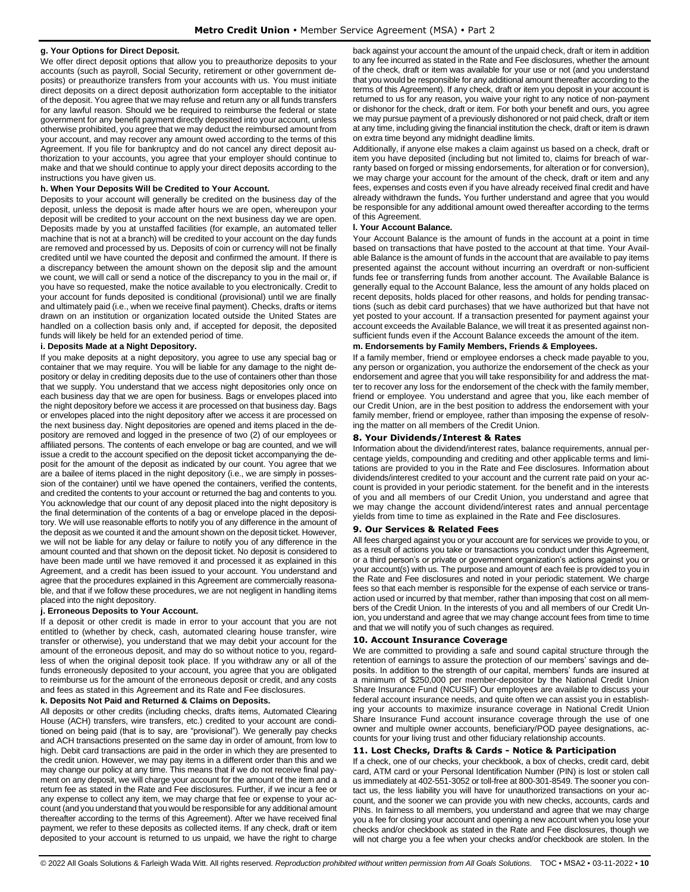## **g. Your Options for Direct Deposit.**

We offer direct deposit options that allow you to preauthorize deposits to your accounts (such as payroll, Social Security, retirement or other government deposits) or preauthorize transfers from your accounts with us. You must initiate direct deposits on a direct deposit authorization form acceptable to the initiator of the deposit. You agree that we may refuse and return any or all funds transfers for any lawful reason. Should we be required to reimburse the federal or state government for any benefit payment directly deposited into your account, unless otherwise prohibited, you agree that we may deduct the reimbursed amount from your account, and may recover any amount owed according to the terms of this Agreement. If you file for bankruptcy and do not cancel any direct deposit authorization to your accounts, you agree that your employer should continue to make and that we should continue to apply your direct deposits according to the instructions you have given us.

#### **h. When Your Deposits Will be Credited to Your Account.**

Deposits to your account will generally be credited on the business day of the deposit, unless the deposit is made after hours we are open, whereupon your deposit will be credited to your account on the next business day we are open. Deposits made by you at unstaffed facilities (for example, an automated teller machine that is not at a branch) will be credited to your account on the day funds are removed and processed by us. Deposits of coin or currency will not be finally credited until we have counted the deposit and confirmed the amount. If there is a discrepancy between the amount shown on the deposit slip and the amount we count, we will call or send a notice of the discrepancy to you in the mail or, if you have so requested, make the notice available to you electronically. Credit to your account for funds deposited is conditional (provisional) until we are finally and ultimately paid (i.e., when we receive final payment). Checks, drafts or items drawn on an institution or organization located outside the United States are handled on a collection basis only and, if accepted for deposit, the deposited funds will likely be held for an extended period of time.

## **i. Deposits Made at a Night Depository.**

If you make deposits at a night depository, you agree to use any special bag or container that we may require. You will be liable for any damage to the night depository or delay in crediting deposits due to the use of containers other than those that we supply. You understand that we access night depositories only once on each business day that we are open for business. Bags or envelopes placed into the night depository before we access it are processed on that business day. Bags or envelopes placed into the night depository after we access it are processed on the next business day. Night depositories are opened and items placed in the depository are removed and logged in the presence of two (2) of our employees or affiliated persons. The contents of each envelope or bag are counted, and we will issue a credit to the account specified on the deposit ticket accompanying the deposit for the amount of the deposit as indicated by our count. You agree that we are a bailee of items placed in the night depository (i.e., we are simply in possession of the container) until we have opened the containers, verified the contents, and credited the contents to your account or returned the bag and contents to you. You acknowledge that our count of any deposit placed into the night depository is the final determination of the contents of a bag or envelope placed in the depository. We will use reasonable efforts to notify you of any difference in the amount of the deposit as we counted it and the amount shown on the deposit ticket. However, we will not be liable for any delay or failure to notify you of any difference in the amount counted and that shown on the deposit ticket. No deposit is considered to have been made until we have removed it and processed it as explained in this Agreement, and a credit has been issued to your account. You understand and agree that the procedures explained in this Agreement are commercially reasonable, and that if we follow these procedures, we are not negligent in handling items placed into the night depository.

#### **j. Erroneous Deposits to Your Account.**

If a deposit or other credit is made in error to your account that you are not entitled to (whether by check, cash, automated clearing house transfer, wire transfer or otherwise), you understand that we may debit your account for the amount of the erroneous deposit, and may do so without notice to you, regardless of when the original deposit took place. If you withdraw any or all of the funds erroneously deposited to your account, you agree that you are obligated to reimburse us for the amount of the erroneous deposit or credit, and any costs and fees as stated in this Agreement and its Rate and Fee disclosures.

#### **k. Deposits Not Paid and Returned & Claims on Deposits.**

All deposits or other credits (including checks, drafts items, Automated Clearing House (ACH) transfers, wire transfers, etc.) credited to your account are conditioned on being paid (that is to say, are "provisional"). We generally pay checks and ACH transactions presented on the same day in order of amount, from low to high. Debit card transactions are paid in the order in which they are presented to the credit union. However, we may pay items in a different order than this and we may change our policy at any time. This means that if we do not receive final payment on any deposit, we will charge your account for the amount of the item and a return fee as stated in the Rate and Fee disclosures. Further, if we incur a fee or any expense to collect any item, we may charge that fee or expense to your account (and you understand that you would be responsible for any additional amount thereafter according to the terms of this Agreement). After we have received final payment, we refer to these deposits as collected items. If any check, draft or item deposited to your account is returned to us unpaid, we have the right to charge

back against your account the amount of the unpaid check, draft or item in addition to any fee incurred as stated in the Rate and Fee disclosures, whether the amount of the check, draft or item was available for your use or not (and you understand that you would be responsible for any additional amount thereafter according to the terms of this Agreement). If any check, draft or item you deposit in your account is returned to us for any reason, you waive your right to any notice of non-payment or dishonor for the check, draft or item. For both your benefit and ours, you agree we may pursue payment of a previously dishonored or not paid check, draft or item at any time, including giving the financial institution the check, draft or item is drawn on extra time beyond any midnight deadline limits.

Additionally, if anyone else makes a claim against us based on a check, draft or item you have deposited (including but not limited to, claims for breach of warranty based on forged or missing endorsements, for alteration or for conversion), we may charge your account for the amount of the check, draft or item and any fees, expenses and costs even if you have already received final credit and have already withdrawn the funds**.** You further understand and agree that you would be responsible for any additional amount owed thereafter according to the terms of this Agreement.

## **l. Your Account Balance.**

Your Account Balance is the amount of funds in the account at a point in time based on transactions that have posted to the account at that time. Your Available Balance is the amount of funds in the account that are available to pay items presented against the account without incurring an overdraft or non-sufficient funds fee or transferring funds from another account. The Available Balance is generally equal to the Account Balance, less the amount of any holds placed on recent deposits, holds placed for other reasons, and holds for pending transactions (such as debit card purchases) that we have authorized but that have not yet posted to your account. If a transaction presented for payment against your account exceeds the Available Balance, we will treat it as presented against nonsufficient funds even if the Account Balance exceeds the amount of the item.

#### **m. Endorsements by Family Members, Friends & Employees.**

If a family member, friend or employee endorses a check made payable to you, any person or organization, you authorize the endorsement of the check as your endorsement and agree that you will take responsibility for and address the matter to recover any loss for the endorsement of the check with the family member, friend or employee. You understand and agree that you, like each member of our Credit Union, are in the best position to address the endorsement with your family member, friend or employee, rather than imposing the expense of resolving the matter on all members of the Credit Union.

## <span id="page-9-0"></span>**8. Your Dividends/Interest & Rates**

Information about the dividend/interest rates, balance requirements, annual percentage yields, compounding and crediting and other applicable terms and limitations are provided to you in the Rate and Fee disclosures. Information about dividends/interest credited to your account and the current rate paid on your account is provided in your periodic statement. for the benefit and in the interests of you and all members of our Credit Union, you understand and agree that we may change the account dividend/interest rates and annual percentage yields from time to time as explained in the Rate and Fee disclosures.

#### <span id="page-9-1"></span>**9. Our Services & Related Fees**

All fees charged against you or your account are for services we provide to you, or as a result of actions you take or transactions you conduct under this Agreement, or a third person's or private or government organization's actions against you or your account(s) with us. The purpose and amount of each fee is provided to you in the Rate and Fee disclosures and noted in your periodic statement. We charge fees so that each member is responsible for the expense of each service or transaction used or incurred by that member, rather than imposing that cost on all members of the Credit Union. In the interests of you and all members of our Credit Union, you understand and agree that we may change account fees from time to time and that we will notify you of such changes as required.

#### <span id="page-9-2"></span>**10. Account Insurance Coverage**

We are committed to providing a safe and sound capital structure through the retention of earnings to assure the protection of our members' savings and deposits. In addition to the strength of our capital, members' funds are insured at a minimum of \$250,000 per member-depositor by the National Credit Union Share Insurance Fund (NCUSIF) Our employees are available to discuss your federal account insurance needs, and quite often we can assist you in establishing your accounts to maximize insurance coverage in National Credit Union Share Insurance Fund account insurance coverage through the use of one owner and multiple owner accounts, beneficiary/POD payee designations, accounts for you**r** living trust and other fiduciary relationship accounts.

## <span id="page-9-3"></span>**11. Lost Checks, Drafts & Cards - Notice & Participation**

If a check, one of our checks, your checkbook, a box of checks, credit card, debit card, ATM card or your Personal Identification Number (PIN) is lost or stolen call us immediately at 402-551-3052 or toll-free at 800-301-8549. The sooner you contact us, the less liability you will have for unauthorized transactions on your account, and the sooner we can provide you with new checks, accounts, cards and PINs. In fairness to all members, you understand and agree that we may charge you a fee for closing your account and opening a new account when you lose your checks and/or checkbook as stated in the Rate and Fee disclosures, though we will not charge you a fee when your checks and/or checkbook are stolen. In the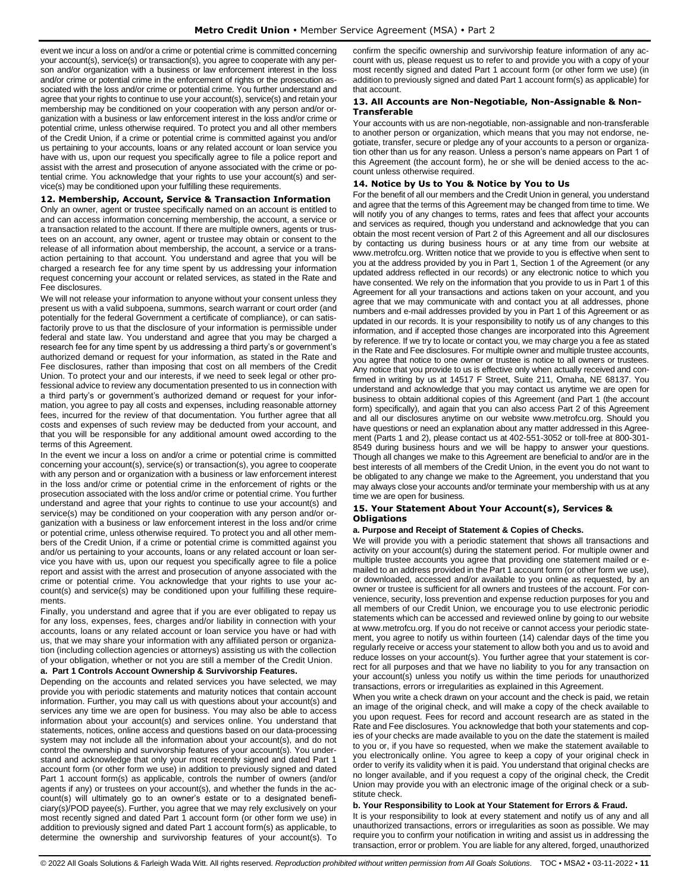event we incur a loss on and/or a crime or potential crime is committed concerning your account(s), service(s) or transaction(s), you agree to cooperate with any person and/or organization with a business or law enforcement interest in the loss and/or crime or potential crime in the enforcement of rights or the prosecution associated with the loss and/or crime or potential crime. You further understand and agree that your rights to continue to use your account(s), service(s) and retain your membership may be conditioned on your cooperation with any person and/or organization with a business or law enforcement interest in the loss and/or crime or potential crime, unless otherwise required. To protect you and all other members of the Credit Union, if a crime or potential crime is committed against you and/or us pertaining to your accounts, loans or any related account or loan service you have with us, upon our request you specifically agree to file a police report and assist with the arrest and prosecution of anyone associated with the crime or potential crime. You acknowledge that your rights to use your account(s) and service(s) may be conditioned upon your fulfilling these requirements.

## <span id="page-10-0"></span>**12. Membership, Account, Service & Transaction Information**

Only an owner, agent or trustee specifically named on an account is entitled to and can access information concerning membership, the account, a service or a transaction related to the account. If there are multiple owners, agents or trustees on an account, any owner, agent or trustee may obtain or consent to the release of all information about membership, the account, a service or a transaction pertaining to that account. You understand and agree that you will be charged a research fee for any time spent by us addressing your information request concerning your account or related services, as stated in the Rate and Fee disclosures.

We will not release your information to anyone without your consent unless they present us with a valid subpoena, summons, search warrant or court order (and potentially for the federal Government a certificate of compliance), or can satisfactorily prove to us that the disclosure of your information is permissible under federal and state law. You understand and agree that you may be charged a research fee for any time spent by us addressing a third party's or government's authorized demand or request for your information, as stated in the Rate and Fee disclosures, rather than imposing that cost on all members of the Credit Union. To protect your and our interests, if we need to seek legal or other professional advice to review any documentation presented to us in connection with a third party's or government's authorized demand or request for your information, you agree to pay all costs and expenses, including reasonable attorney fees, incurred for the review of that documentation. You further agree that all costs and expenses of such review may be deducted from your account, and that you will be responsible for any additional amount owed according to the terms of this Agreement.

In the event we incur a loss on and/or a crime or potential crime is committed concerning your account(s), service(s) or transaction(s), you agree to cooperate with any person and or organization with a business or law enforcement interest in the loss and/or crime or potential crime in the enforcement of rights or the prosecution associated with the loss and/or crime or potential crime. You further understand and agree that your rights to continue to use your account(s) and service(s) may be conditioned on your cooperation with any person and/or organization with a business or law enforcement interest in the loss and/or crime or potential crime, unless otherwise required. To protect you and all other members of the Credit Union, if a crime or potential crime is committed against you and/or us pertaining to your accounts, loans or any related account or loan service you have with us, upon our request you specifically agree to file a police report and assist with the arrest and prosecution of anyone associated with the crime or potential crime. You acknowledge that your rights to use your account(s) and service(s) may be conditioned upon your fulfilling these requirements.

Finally, you understand and agree that if you are ever obligated to repay us for any loss, expenses, fees, charges and/or liability in connection with your accounts, loans or any related account or loan service you have or had with us, that we may share your information with any affiliated person or organization (including collection agencies or attorneys) assisting us with the collection of your obligation, whether or not you are still a member of the Credit Union.

## **a. Part 1 Controls Account Ownership & Survivorship Features.**

Depending on the accounts and related services you have selected, we may provide you with periodic statements and maturity notices that contain account information. Further, you may call us with questions about your account(s) and services any time we are open for business. You may also be able to access information about your account(s) and services online. You understand that statements, notices, online access and questions based on our data-processing system may not include all the information about your account(s), and do not control the ownership and survivorship features of your account(s). You understand and acknowledge that only your most recently signed and dated Part 1 account form (or other form we use) in addition to previously signed and dated Part 1 account form(s) as applicable, controls the number of owners (and/or agents if any) or trustees on your account(s), and whether the funds in the account(s) will ultimately go to an owner's estate or to a designated beneficiary(s)/POD payee(s). Further, you agree that we may rely exclusively on your most recently signed and dated Part 1 account form (or other form we use) in addition to previously signed and dated Part 1 account form(s) as applicable, to determine the ownership and survivorship features of your account(s). To confirm the specific ownership and survivorship feature information of any account with us, please request us to refer to and provide you with a copy of your most recently signed and dated Part 1 account form (or other form we use) (in addition to previously signed and dated Part 1 account form(s) as applicable) for that account.

## <span id="page-10-1"></span>**13. All Accounts are Non-Negotiable, Non-Assignable & Non-Transferable**

Your accounts with us are non-negotiable, non-assignable and non-transferable to another person or organization, which means that you may not endorse, negotiate, transfer, secure or pledge any of your accounts to a person or organization other than us for any reason. Unless a person's name appears on Part 1 of this Agreement (the account form), he or she will be denied access to the account unless otherwise required.

## <span id="page-10-2"></span>**14. Notice by Us to You & Notice by You to Us**

For the benefit of all our members and the Credit Union in general, you understand and agree that the terms of this Agreement may be changed from time to time. We will notify you of any changes to terms, rates and fees that affect your accounts and services as required, though you understand and acknowledge that you can obtain the most recent version of Part 2 of this Agreement and all our disclosures by contacting us during business hours or at any time from our website at www.metrofcu.org. Written notice that we provide to you is effective when sent to you at the address provided by you in Part 1, Section 1 of the Agreement (or any updated address reflected in our records) or any electronic notice to which you have consented. We rely on the information that you provide to us in Part 1 of this Agreement for all your transactions and actions taken on your account, and you agree that we may communicate with and contact you at all addresses, phone numbers and e-mail addresses provided by you in Part 1 of this Agreement or as updated in our records. It is your responsibility to notify us of any changes to this information, and if accepted those changes are incorporated into this Agreement by reference. If we try to locate or contact you, we may charge you a fee as stated in the Rate and Fee disclosures. For multiple owner and multiple trustee accounts, you agree that notice to one owner or trustee is notice to all owners or trustees. Any notice that you provide to us is effective only when actually received and confirmed in writing by us at 14517 F Street, Suite 211, Omaha, NE 68137. You understand and acknowledge that you may contact us anytime we are open for business to obtain additional copies of this Agreement (and Part 1 (the account form) specifically), and again that you can also access Part 2 of this Agreement and all our disclosures anytime on our website www.metrofcu.org. Should you have questions or need an explanation about any matter addressed in this Agreement (Parts 1 and 2), please contact us at 402-551-3052 or toll-free at 800-301- 8549 during business hours and we will be happy to answer your questions. Though all changes we make to this Agreement are beneficial to and/or are in the best interests of all members of the Credit Union, in the event you do not want to be obligated to any change we make to the Agreement, you understand that you may always close your accounts and/or terminate your membership with us at any time we are open for business.

### <span id="page-10-3"></span>**15. Your Statement About Your Account(s), Services & Obligations**

## **a. Purpose and Receipt of Statement & Copies of Checks.**

We will provide you with a periodic statement that shows all transactions and activity on your account(s) during the statement period. For multiple owner and multiple trustee accounts you agree that providing one statement mailed or emailed to an address provided in the Part 1 account form (or other form we use), or downloaded, accessed and/or available to you online as requested, by an owner or trustee is sufficient for all owners and trustees of the account. For convenience, security, loss prevention and expense reduction purposes for you and all members of our Credit Union, we encourage you to use electronic periodic statements which can be accessed and reviewed online by going to our website at www.metrofcu.org. If you do not receive or cannot access your periodic statement, you agree to notify us within fourteen (14) calendar days of the time you regularly receive or access your statement to allow both you and us to avoid and reduce losses on your account(s). You further agree that your statement is correct for all purposes and that we have no liability to you for any transaction on your account(s) unless you notify us within the time periods for unauthorized transactions, errors or irregularities as explained in this Agreement.

When you write a check drawn on your account and the check is paid, we retain an image of the original check, and will make a copy of the check available to you upon request. Fees for record and account research are as stated in the Rate and Fee disclosures. You acknowledge that both your statements and copies of your checks are made available to you on the date the statement is mailed to you or, if you have so requested, when we make the statement available to you electronically online. You agree to keep a copy of your original check in order to verify its validity when it is paid. You understand that original checks are no longer available, and if you request a copy of the original check, the Credit Union may provide you with an electronic image of the original check or a substitute check.

#### **b. Your Responsibility to Look at Your Statement for Errors & Fraud.**

It is your responsibility to look at every statement and notify us of any and all unauthorized transactions, errors or irregularities as soon as possible. We may require you to confirm your notification in writing and assist us in addressing the transaction, error or problem. You are liable for any altered, forged, unauthorized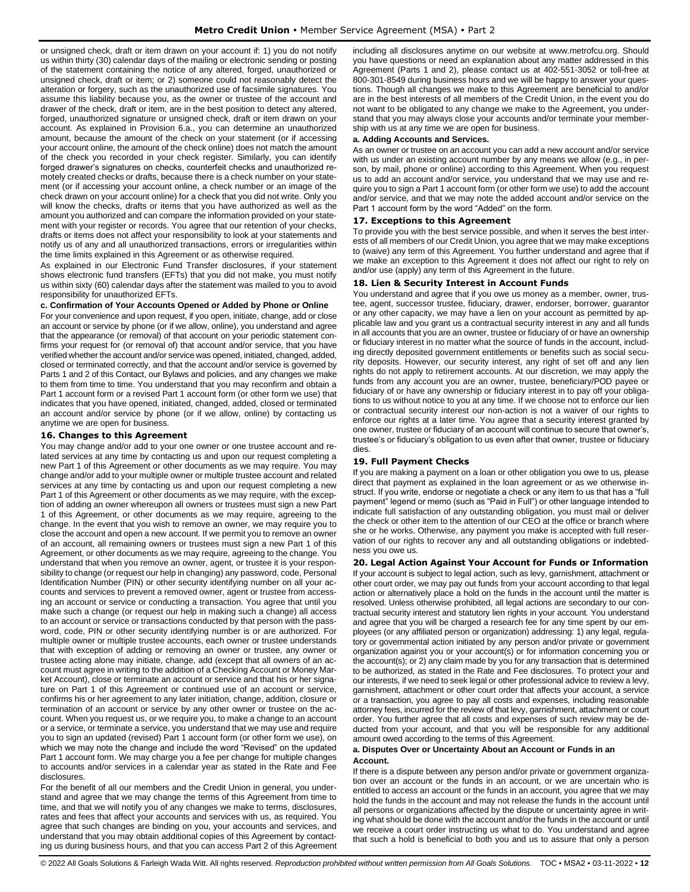or unsigned check, draft or item drawn on your account if: 1) you do not notify us within thirty (30) calendar days of the mailing or electronic sending or posting of the statement containing the notice of any altered, forged, unauthorized or unsigned check, draft or item; or 2) someone could not reasonably detect the alteration or forgery, such as the unauthorized use of facsimile signatures. You assume this liability because you, as the owner or trustee of the account and drawer of the check, draft or item, are in the best position to detect any altered, forged, unauthorized signature or unsigned check, draft or item drawn on your account. As explained in Provision 6.a., you can determine an unauthorized amount, because the amount of the check on your statement (or if accessing your account online, the amount of the check online) does not match the amount of the check you recorded in your check register. Similarly, you can identify forged drawer's signatures on checks, counterfeit checks and unauthorized remotely created checks or drafts, because there is a check number on your statement (or if accessing your account online, a check number or an image of the check drawn on your account online) for a check that you did not write. Only you will know the checks, drafts or items that you have authorized as well as the amount you authorized and can compare the information provided on your statement with your register or records. You agree that our retention of your checks, drafts or items does not affect your responsibility to look at your statements and notify us of any and all unauthorized transactions, errors or irregularities within the time limits explained in this Agreement or as otherwise required.

As explained in our Electronic Fund Transfer disclosures, if your statement shows electronic fund transfers (EFTs) that you did not make, you must notify us within sixty (60) calendar days after the statement was mailed to you to avoid responsibility for unauthorized EFTs.

## **c. Confirmation of Your Accounts Opened or Added by Phone or Online**

For your convenience and upon request, if you open, initiate, change, add or close an account or service by phone (or if we allow, online), you understand and agree that the appearance (or removal) of that account on your periodic statement confirms your request for (or removal of) that account and/or service, that you have verified whether the account and/or service was opened, initiated, changed, added, closed or terminated correctly, and that the account and/or service is governed by Parts 1 and 2 of this Contact, our Bylaws and policies, and any changes we make to them from time to time. You understand that you may reconfirm and obtain a Part 1 account form or a revised Part 1 account form (or other form we use) that indicates that you have opened, initiated, changed, added, closed or terminated an account and/or service by phone (or if we allow, online) by contacting us anytime we are open for business.

## <span id="page-11-0"></span>**16. Changes to this Agreement**

You may change and/or add to your one owner or one trustee account and related services at any time by contacting us and upon our request completing a new Part 1 of this Agreement or other documents as we may require. You may change and/or add to your multiple owner or multiple trustee account and related services at any time by contacting us and upon our request completing a new Part 1 of this Agreement or other documents as we may require, with the exception of adding an owner whereupon all owners or trustees must sign a new Part 1 of this Agreement, or other documents as we may require, agreeing to the change. In the event that you wish to remove an owner, we may require you to close the account and open a new account. If we permit you to remove an owner of an account, all remaining owners or trustees must sign a new Part 1 of this Agreement, or other documents as we may require, agreeing to the change. You understand that when you remove an owner, agent, or trustee it is your responsibility to change (or request our help in changing) any password, code, Personal Identification Number (PIN) or other security identifying number on all your accounts and services to prevent a removed owner, agent or trustee from accessing an account or service or conducting a transaction. You agree that until you make such a change (or request our help in making such a change) all access to an account or service or transactions conducted by that person with the password, code, PIN or other security identifying number is or are authorized. For multiple owner or multiple trustee accounts, each owner or trustee understands that with exception of adding or removing an owner or trustee, any owner or trustee acting alone may initiate, change, add (except that all owners of an account must agree in writing to the addition of a Checking Account or Money Market Account), close or terminate an account or service and that his or her signature on Part 1 of this Agreement or continued use of an account or service, confirms his or her agreement to any later initiation, change, addition, closure or termination of an account or service by any other owner or trustee on the account. When you request us, or we require you, to make a change to an account or a service, or terminate a service, you understand that we may use and require you to sign an updated (revised) Part 1 account form (or other form we use), on which we may note the change and include the word "Revised" on the updated Part 1 account form. We may charge you a fee per change for multiple changes to accounts and/or services in a calendar year as stated in the Rate and Fee disclosures.

For the benefit of all our members and the Credit Union in general, you understand and agree that we may change the terms of this Agreement from time to time, and that we will notify you of any changes we make to terms, disclosures, rates and fees that affect your accounts and services with us, as required. You agree that such changes are binding on you, your accounts and services, and understand that you may obtain additional copies of this Agreement by contacting us during business hours, and that you can access Part 2 of this Agreement including all disclosures anytime on our website at www.metrofcu.org. Should you have questions or need an explanation about any matter addressed in this Agreement (Parts 1 and 2), please contact us at 402-551-3052 or toll-free at 800-301-8549 during business hours and we will be happy to answer your questions. Though all changes we make to this Agreement are beneficial to and/or are in the best interests of all members of the Credit Union, in the event you do not want to be obligated to any change we make to the Agreement, you understand that you may always close your accounts and/or terminate your membership with us at any time we are open for business.

#### **a. Adding Accounts and Services.**

As an owner or trustee on an account you can add a new account and/or service with us under an existing account number by any means we allow (e.g., in person, by mail, phone or online) according to this Agreement. When you request us to add an account and/or service, you understand that we may use and require you to sign a Part 1 account form (or other form we use) to add the account and/or service, and that we may note the added account and/or service on the Part 1 account form by the word "Added" on the form.

## <span id="page-11-1"></span>**17. Exceptions to this Agreement**

To provide you with the best service possible, and when it serves the best interests of all members of our Credit Union, you agree that we may make exceptions to (waive) any term of this Agreement. You further understand and agree that if we make an exception to this Agreement it does not affect our right to rely on and/or use (apply) any term of this Agreement in the future.

## <span id="page-11-2"></span>**18. Lien & Security Interest in Account Funds**

You understand and agree that if you owe us money as a member, owner, trustee, agent, successor trustee, fiduciary, drawer, endorser, borrower, guarantor or any other capacity, we may have a lien on your account as permitted by applicable law and you grant us a contractual security interest in any and all funds in all accounts that you are an owner, trustee or fiduciary of or have an ownership or fiduciary interest in no matter what the source of funds in the account, including directly deposited government entitlements or benefits such as social security deposits. However, our security interest, any right of set off and any lien rights do not apply to retirement accounts. At our discretion, we may apply the funds from any account you are an owner, trustee, beneficiary/POD payee or fiduciary of or have any ownership or fiduciary interest in to pay off your obligations to us without notice to you at any time. If we choose not to enforce our lien or contractual security interest our non-action is not a waiver of our rights to enforce our rights at a later time. You agree that a security interest granted by one owner, trustee or fiduciary of an account will continue to secure that owner's, trustee's or fiduciary's obligation to us even after that owner, trustee or fiduciary dies.

## <span id="page-11-3"></span>**19. Full Payment Checks**

If you are making a payment on a loan or other obligation you owe to us, please direct that payment as explained in the loan agreement or as we otherwise instruct. If you write, endorse or negotiate a check or any item to us that has a "full payment" legend or memo (such as "Paid in Full") or other language intended to indicate full satisfaction of any outstanding obligation, you must mail or deliver the check or other item to the attention of our CEO at the office or branch where she or he works. Otherwise, any payment you make is accepted with full reservation of our rights to recover any and all outstanding obligations or indebtedness you owe us.

## <span id="page-11-4"></span>**20. Legal Action Against Your Account for Funds or Information**

If your account is subject to legal action, such as levy, garnishment, attachment or other court order, we may pay out funds from your account according to that legal action or alternatively place a hold on the funds in the account until the matter is resolved. Unless otherwise prohibited, all legal actions are secondary to our contractual security interest and statutory lien rights in your account. You understand and agree that you will be charged a research fee for any time spent by our employees (or any affiliated person or organization) addressing: 1) any legal, regulatory or governmental action initiated by any person and/or private or government organization against you or your account(s) or for information concerning you or the account(s); or 2) any claim made by you for any transaction that is determined to be authorized, as stated in the Rate and Fee disclosures. To protect your and our interests, if we need to seek legal or other professional advice to review a levy, garnishment, attachment or other court order that affects your account, a service or a transaction, you agree to pay all costs and expenses, including reasonable attorney fees, incurred for the review of that levy, garnishment, attachment or court order. You further agree that all costs and expenses of such review may be deducted from your account, and that you will be responsible for any additional amount owed according to the terms of this Agreement.

## **a. Disputes Over or Uncertainty About an Account or Funds in an Account.**

If there is a dispute between any person and/or private or government organization over an account or the funds in an account, or we are uncertain who is entitled to access an account or the funds in an account, you agree that we may hold the funds in the account and may not release the funds in the account until all persons or organizations affected by the dispute or uncertainty agree in writing what should be done with the account and/or the funds in the account or until we receive a court order instructing us what to do. You understand and agree that such a hold is beneficial to both you and us to assure that only a person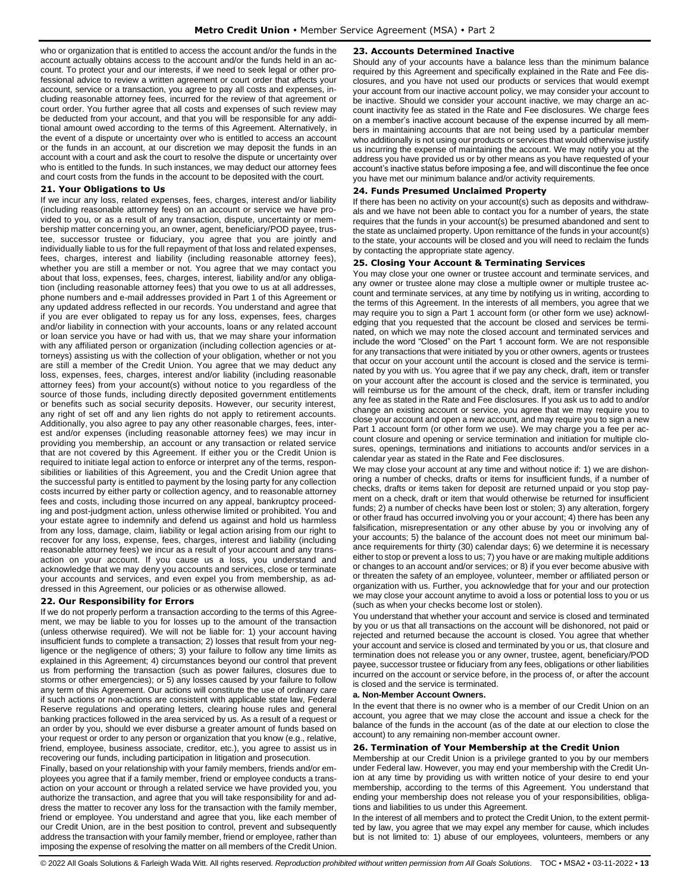who or organization that is entitled to access the account and/or the funds in the account actually obtains access to the account and/or the funds held in an account. To protect your and our interests, if we need to seek legal or other professional advice to review a written agreement or court order that affects your account, service or a transaction, you agree to pay all costs and expenses, including reasonable attorney fees, incurred for the review of that agreement or court order. You further agree that all costs and expenses of such review may be deducted from your account, and that you will be responsible for any additional amount owed according to the terms of this Agreement. Alternatively, in the event of a dispute or uncertainty over who is entitled to access an account or the funds in an account, at our discretion we may deposit the funds in an account with a court and ask the court to resolve the dispute or uncertainty over who is entitled to the funds. In such instances, we may deduct our attorney fees and court costs from the funds in the account to be deposited with the court.

## <span id="page-12-0"></span>**21. Your Obligations to Us**

If we incur any loss, related expenses, fees, charges, interest and/or liability (including reasonable attorney fees) on an account or service we have provided to you, or as a result of any transaction, dispute, uncertainty or membership matter concerning you, an owner, agent, beneficiary/POD payee, trustee, successor trustee or fiduciary, you agree that you are jointly and individually liable to us for the full repayment of that loss and related expenses, fees, charges, interest and liability (including reasonable attorney fees), whether you are still a member or not. You agree that we may contact you about that loss, expenses, fees, charges, interest, liability and/or any obligation (including reasonable attorney fees) that you owe to us at all addresses, phone numbers and e-mail addresses provided in Part 1 of this Agreement or any updated address reflected in our records. You understand and agree that if you are ever obligated to repay us for any loss, expenses, fees, charges and/or liability in connection with your accounts, loans or any related account or loan service you have or had with us, that we may share your information with any affiliated person or organization (including collection agencies or attorneys) assisting us with the collection of your obligation, whether or not you are still a member of the Credit Union. You agree that we may deduct any loss, expenses, fees, charges, interest and/or liability (including reasonable attorney fees) from your account(s) without notice to you regardless of the source of those funds, including directly deposited government entitlements or benefits such as social security deposits. However, our security interest, any right of set off and any lien rights do not apply to retirement accounts. Additionally, you also agree to pay any other reasonable charges, fees, interest and/or expenses (including reasonable attorney fees) we may incur in providing you membership, an account or any transaction or related service that are not covered by this Agreement. If either you or the Credit Union is required to initiate legal action to enforce or interpret any of the terms, responsibilities or liabilities of this Agreement, you and the Credit Union agree that the successful party is entitled to payment by the losing party for any collection costs incurred by either party or collection agency, and to reasonable attorney fees and costs, including those incurred on any appeal, bankruptcy proceeding and post-judgment action, unless otherwise limited or prohibited. You and your estate agree to indemnify and defend us against and hold us harmless from any loss, damage, claim, liability or legal action arising from our right to recover for any loss, expense, fees, charges, interest and liability (including reasonable attorney fees) we incur as a result of your account and any transaction on your account. If you cause us a loss, you understand and acknowledge that we may deny you accounts and services, close or terminate your accounts and services, and even expel you from membership, as addressed in this Agreement, our policies or as otherwise allowed.

## <span id="page-12-1"></span>**22. Our Responsibility for Errors**

If we do not properly perform a transaction according to the terms of this Agreement, we may be liable to you for losses up to the amount of the transaction (unless otherwise required). We will not be liable for: 1) your account having insufficient funds to complete a transaction; 2) losses that result from your negligence or the negligence of others; 3) your failure to follow any time limits as explained in this Agreement; 4) circumstances beyond our control that prevent us from performing the transaction (such as power failures, closures due to storms or other emergencies); or 5) any losses caused by your failure to follow any term of this Agreement. Our actions will constitute the use of ordinary care if such actions or non-actions are consistent with applicable state law, Federal Reserve regulations and operating letters, clearing house rules and general banking practices followed in the area serviced by us. As a result of a request or an order by you, should we ever disburse a greater amount of funds based on your request or order to any person or organization that you know (e.g., relative, friend, employee, business associate, creditor, etc.), you agree to assist us in recovering our funds, including participation in litigation and prosecution.

Finally, based on your relationship with your family members, friends and/or employees you agree that if a family member, friend or employee conducts a transaction on your account or through a related service we have provided you, you authorize the transaction, and agree that you will take responsibility for and address the matter to recover any loss for the transaction with the family member, friend or employee. You understand and agree that you, like each member of our Credit Union, are in the best position to control, prevent and subsequently address the transaction with your family member, friend or employee, rather than imposing the expense of resolving the matter on all members of the Credit Union.

#### <span id="page-12-2"></span>**23. Accounts Determined Inactive**

Should any of your accounts have a balance less than the minimum balance required by this Agreement and specifically explained in the Rate and Fee disclosures, and you have not used our products or services that would exempt your account from our inactive account policy, we may consider your account to be inactive. Should we consider your account inactive, we may charge an account inactivity fee as stated in the Rate and Fee disclosures. We charge fees on a member's inactive account because of the expense incurred by all members in maintaining accounts that are not being used by a particular member who additionally is not using our products or services that would otherwise justify us incurring the expense of maintaining the account. We may notify you at the address you have provided us or by other means as you have requested of your account's inactive status before imposing a fee, and will discontinue the fee once you have met our minimum balance and/or activity requirements.

## <span id="page-12-3"></span>**24. Funds Presumed Unclaimed Property**

If there has been no activity on your account(s) such as deposits and withdrawals and we have not been able to contact you for a number of years, the state requires that the funds in your account(s) be presumed abandoned and sent to the state as unclaimed property. Upon remittance of the funds in your account(s) to the state, your accounts will be closed and you will need to reclaim the funds by contacting the appropriate state agency.

#### <span id="page-12-4"></span>**25. Closing Your Account & Terminating Services**

You may close your one owner or trustee account and terminate services, and any owner or trustee alone may close a multiple owner or multiple trustee account and terminate services, at any time by notifying us in writing, according to the terms of this Agreement. In the interests of all members, you agree that we may require you to sign a Part 1 account form (or other form we use) acknowledging that you requested that the account be closed and services be terminated, on which we may note the closed account and terminated services and include the word "Closed" on the Part 1 account form. We are not responsible for any transactions that were initiated by you or other owners, agents or trustees that occur on your account until the account is closed and the service is terminated by you with us. You agree that if we pay any check, draft, item or transfer on your account after the account is closed and the service is terminated, you will reimburse us for the amount of the check, draft, item or transfer including any fee as stated in the Rate and Fee disclosures. If you ask us to add to and/or change an existing account or service, you agree that we may require you to close your account and open a new account, and may require you to sign a new Part 1 account form (or other form we use). We may charge you a fee per account closure and opening or service termination and initiation for multiple closures, openings, terminations and initiations to accounts and/or services in a calendar year as stated in the Rate and Fee disclosures.

We may close your account at any time and without notice if: 1) we are dishonoring a number of checks, drafts or items for insufficient funds, if a number of checks, drafts or items taken for deposit are returned unpaid or you stop payment on a check, draft or item that would otherwise be returned for insufficient funds; 2) a number of checks have been lost or stolen; 3) any alteration, forgery or other fraud has occurred involving you or your account; 4) there has been any falsification, misrepresentation or any other abuse by you or involving any of your accounts; 5) the balance of the account does not meet our minimum balance requirements for thirty (30) calendar days; 6) we determine it is necessary either to stop or prevent a loss to us; 7) you have or are making multiple additions or changes to an account and/or services; or 8) if you ever become abusive with or threaten the safety of an employee, volunteer, member or affiliated person or organization with us. Further, you acknowledge that for your and our protection we may close your account anytime to avoid a loss or potential loss to you or us (such as when your checks become lost or stolen).

You understand that whether your account and service is closed and terminated by you or us that all transactions on the account will be dishonored, not paid or rejected and returned because the account is closed. You agree that whether your account and service is closed and terminated by you or us, that closure and termination does not release you or any owner, trustee, agent, beneficiary/POD payee, successor trustee or fiduciary from any fees, obligations or other liabilities incurred on the account or service before, in the process of, or after the account is closed and the service is terminated.

#### **a. Non-Member Account Owners.**

In the event that there is no owner who is a member of our Credit Union on an account, you agree that we may close the account and issue a check for the balance of the funds in the account (as of the date at our election to close the account) to any remaining non-member account owner.

#### <span id="page-12-5"></span>**26. Termination of Your Membership at the Credit Union**

Membership at our Credit Union is a privilege granted to you by our members under Federal law. However, you may end your membership with the Credit Union at any time by providing us with written notice of your desire to end your membership, according to the terms of this Agreement. You understand that ending your membership does not release you of your responsibilities, obligations and liabilities to us under this Agreement.

In the interest of all members and to protect the Credit Union, to the extent permitted by law, you agree that we may expel any member for cause, which includes but is not limited to: 1) abuse of our employees, volunteers, members or any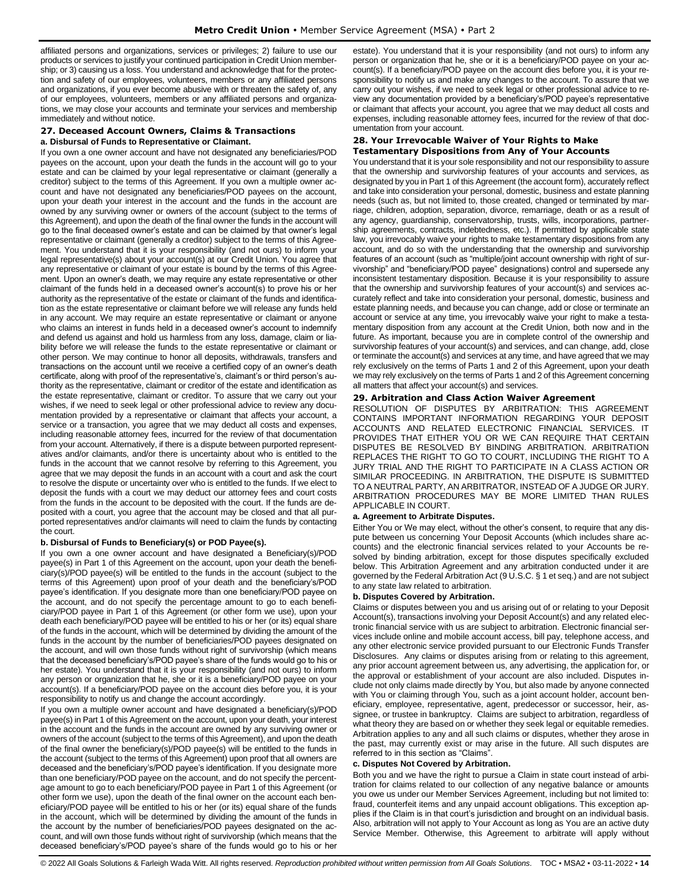affiliated persons and organizations, services or privileges; 2) failure to use our products or services to justify your continued participation in Credit Union membership; or 3) causing us a loss. You understand and acknowledge that for the protection and safety of our employees, volunteers, members or any affiliated persons and organizations, if you ever become abusive with or threaten the safety of, any of our employees, volunteers, members or any affiliated persons and organizations, we may close your accounts and terminate your services and membership immediately and without notice.

## <span id="page-13-0"></span>**27. Deceased Account Owners, Claims & Transactions**

## **a. Disbursal of Funds to Representative or Claimant.**

If you own a one owner account and have not designated any beneficiaries/POD payees on the account, upon your death the funds in the account will go to your estate and can be claimed by your legal representative or claimant (generally a creditor) subject to the terms of this Agreement. If you own a multiple owner account and have not designated any beneficiaries/POD payees on the account, upon your death your interest in the account and the funds in the account are owned by any surviving owner or owners of the account (subject to the terms of this Agreement), and upon the death of the final owner the funds in the account will go to the final deceased owner's estate and can be claimed by that owner's legal representative or claimant (generally a creditor) subject to the terms of this Agreement. You understand that it is your responsibility (and not ours) to inform your legal representative(s) about your account(s) at our Credit Union. You agree that any representative or claimant of your estate is bound by the terms of this Agreement. Upon an owner's death, we may require any estate representative or other claimant of the funds held in a deceased owner's account(s) to prove his or her authority as the representative of the estate or claimant of the funds and identification as the estate representative or claimant before we will release any funds held in any account. We may require an estate representative or claimant or anyone who claims an interest in funds held in a deceased owner's account to indemnify and defend us against and hold us harmless from any loss, damage, claim or liability before we will release the funds to the estate representative or claimant or other person. We may continue to honor all deposits, withdrawals, transfers and transactions on the account until we receive a certified copy of an owner's death certificate, along with proof of the representative's, claimant's or third person's authority as the representative, claimant or creditor of the estate and identification as the estate representative, claimant or creditor. To assure that we carry out your wishes, if we need to seek legal or other professional advice to review any documentation provided by a representative or claimant that affects your account, a service or a transaction, you agree that we may deduct all costs and expenses, including reasonable attorney fees, incurred for the review of that documentation from your account. Alternatively, if there is a dispute between purported representatives and/or claimants, and/or there is uncertainty about who is entitled to the funds in the account that we cannot resolve by referring to this Agreement, you agree that we may deposit the funds in an account with a court and ask the court to resolve the dispute or uncertainty over who is entitled to the funds. If we elect to deposit the funds with a court we may deduct our attorney fees and court costs from the funds in the account to be deposited with the court. If the funds are deposited with a court, you agree that the account may be closed and that all purported representatives and/or claimants will need to claim the funds by contacting the court.

#### **b. Disbursal of Funds to Beneficiary(s) or POD Payee(s).**

If you own a one owner account and have designated a Beneficiary(s)/POD payee(s) in Part 1 of this Agreement on the account, upon your death the beneficiary(s)/POD payee(s) will be entitled to the funds in the account (subject to the terms of this Agreement) upon proof of your death and the beneficiary's/POD payee's identification. If you designate more than one beneficiary/POD payee on the account, and do not specify the percentage amount to go to each beneficiary/POD payee in Part 1 of this Agreement (or other form we use), upon your death each beneficiary/POD payee will be entitled to his or her (or its) equal share of the funds in the account, which will be determined by dividing the amount of the funds in the account by the number of beneficiaries/POD payees designated on the account, and will own those funds without right of survivorship (which means that the deceased beneficiary's/POD payee's share of the funds would go to his or her estate). You understand that it is your responsibility (and not ours) to inform any person or organization that he, she or it is a beneficiary/POD payee on your account(s). If a beneficiary/POD payee on the account dies before you, it is your responsibility to notify us and change the account accordingly.

If you own a multiple owner account and have designated a beneficiary(s)/POD payee(s) in Part 1 of this Agreement on the account, upon your death, your interest in the account and the funds in the account are owned by any surviving owner or owners of the account (subject to the terms of this Agreement), and upon the death of the final owner the beneficiary(s)/POD payee(s) will be entitled to the funds in the account (subject to the terms of this Agreement) upon proof that all owners are deceased and the beneficiary's/POD payee's identification. If you designate more than one beneficiary/POD payee on the account, and do not specify the percentage amount to go to each beneficiary/POD payee in Part 1 of this Agreement (or other form we use), upon the death of the final owner on the account each beneficiary/POD payee will be entitled to his or her (or its) equal share of the funds in the account, which will be determined by dividing the amount of the funds in the account by the number of beneficiaries/POD payees designated on the account, and will own those funds without right of survivorship (which means that the deceased beneficiary's/POD payee's share of the funds would go to his or her

estate). You understand that it is your responsibility (and not ours) to inform any person or organization that he, she or it is a beneficiary/POD payee on your account(s). If a beneficiary/POD payee on the account dies before you, it is your responsibility to notify us and make any changes to the account. To assure that we carry out your wishes, if we need to seek legal or other professional advice to review any documentation provided by a beneficiary's/POD payee's representative or claimant that affects your account, you agree that we may deduct all costs and expenses, including reasonable attorney fees, incurred for the review of that documentation from your account.

## <span id="page-13-2"></span><span id="page-13-1"></span>**28. Your Irrevocable Waiver of Your Rights to Make Testamentary Dispositions from Any of Your Accounts**

You understand that it is your sole responsibility and not our responsibility to assure that the ownership and survivorship features of your accounts and services, as designated by you in Part 1 of this Agreement (the account form), accurately reflect and take into consideration your personal, domestic, business and estate planning needs (such as, but not limited to, those created, changed or terminated by marriage, children, adoption, separation, divorce, remarriage, death or as a result of any agency, guardianship, conservatorship, trusts, wills, incorporations, partnership agreements, contracts, indebtedness, etc.). If permitted by applicable state law, you irrevocably waive your rights to make testamentary dispositions from any account, and do so with the understanding that the ownership and survivorship features of an account (such as "multiple/joint account ownership with right of survivorship" and "beneficiary/POD payee" designations) control and supersede any inconsistent testamentary disposition. Because it is your responsibility to assure that the ownership and survivorship features of your account(s) and services accurately reflect and take into consideration your personal, domestic, business and estate planning needs, and because you can change, add or close or terminate an account or service at any time, you irrevocably waive your right to make a testamentary disposition from any account at the Credit Union, both now and in the future. As important, because you are in complete control of the ownership and survivorship features of your account(s) and services, and can change, add, close or terminate the account(s) and services at any time, and have agreed that we may rely exclusively on the terms of Parts 1 and 2 of this Agreement, upon your death we may rely exclusively on the terms of Parts 1 and 2 of this Agreement concerning all matters that affect your account(s) and services.

#### <span id="page-13-3"></span>**29. Arbitration and Class Action Waiver Agreement**

RESOLUTION OF DISPUTES BY ARBITRATION: THIS AGREEMENT CONTAINS IMPORTANT INFORMATION REGARDING YOUR DEPOSIT ACCOUNTS AND RELATED ELECTRONIC FINANCIAL SERVICES. IT PROVIDES THAT EITHER YOU OR WE CAN REQUIRE THAT CERTAIN DISPUTES BE RESOLVED BY BINDING ARBITRATION. ARBITRATION REPLACES THE RIGHT TO GO TO COURT, INCLUDING THE RIGHT TO A JURY TRIAL AND THE RIGHT TO PARTICIPATE IN A CLASS ACTION OR SIMILAR PROCEEDING. IN ARBITRATION, THE DISPUTE IS SUBMITTED TO A NEUTRAL PARTY, AN ARBITRATOR, INSTEAD OF A JUDGE OR JURY. ARBITRATION PROCEDURES MAY BE MORE LIMITED THAN RULES APPLICABLE IN COURT.

#### **a. Agreement to Arbitrate Disputes.**

Either You or We may elect, without the other's consent, to require that any dispute between us concerning Your Deposit Accounts (which includes share accounts) and the electronic financial services related to your Accounts be resolved by binding arbitration, except for those disputes specifically excluded below. This Arbitration Agreement and any arbitration conducted under it are governed by the Federal Arbitration Act (9 U.S.C. § 1 et seq.) and are not subject to any state law related to arbitration.

#### **b. Disputes Covered by Arbitration.**

Claims or disputes between you and us arising out of or relating to your Deposit Account(s), transactions involving your Deposit Account(s) and any related electronic financial service with us are subject to arbitration. Electronic financial services include online and mobile account access, bill pay, telephone access, and any other electronic service provided pursuant to our Electronic Funds Transfer Disclosures. Any claims or disputes arising from or relating to this agreement, any prior account agreement between us, any advertising, the application for, or the approval or establishment of your account are also included. Disputes include not only claims made directly by You, but also made by anyone connected with You or claiming through You, such as a joint account holder, account beneficiary, employee, representative, agent, predecessor or successor, heir, assignee, or trustee in bankruptcy. Claims are subject to arbitration, regardless of what theory they are based on or whether they seek legal or equitable remedies. Arbitration applies to any and all such claims or disputes, whether they arose in the past, may currently exist or may arise in the future. All such disputes are referred to in this section as "Claims".

## **c. Disputes Not Covered by Arbitration.**

Both you and we have the right to pursue a Claim in state court instead of arbitration for claims related to our collection of any negative balance or amounts you owe us under our Member Services Agreement, including but not limited to: fraud, counterfeit items and any unpaid account obligations. This exception applies if the Claim is in that court's jurisdiction and brought on an individual basis. Also, arbitration will not apply to Your Account as long as You are an active duty Service Member. Otherwise, this Agreement to arbitrate will apply without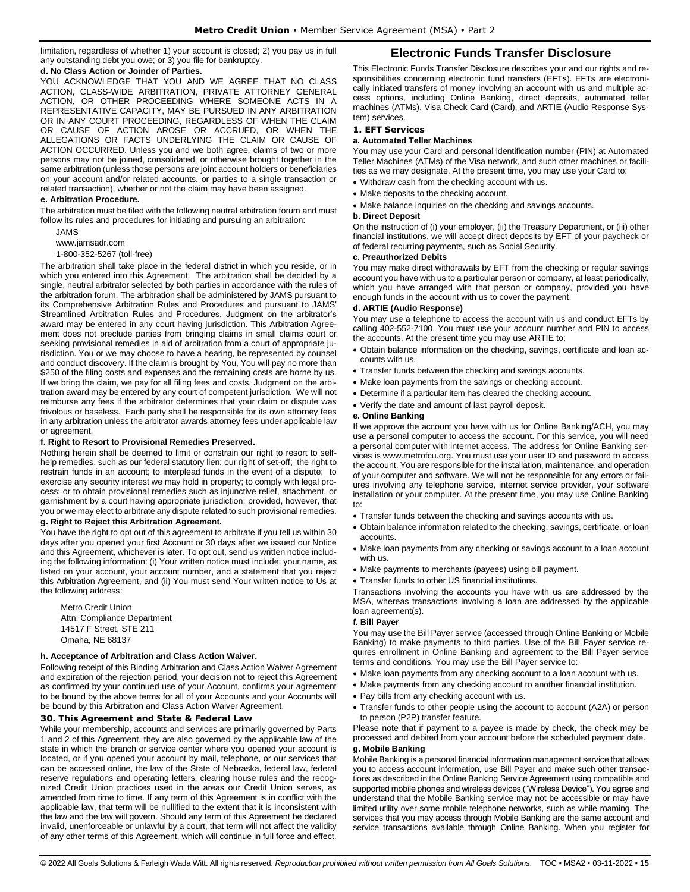limitation, regardless of whether 1) your account is closed; 2) you pay us in full any outstanding debt you owe; or 3) you file for bankruptcy.

#### **d. No Class Action or Joinder of Parties.**

YOU ACKNOWLEDGE THAT YOU AND WE AGREE THAT NO CLASS ACTION, CLASS-WIDE ARBITRATION, PRIVATE ATTORNEY GENERAL ACTION, OR OTHER PROCEEDING WHERE SOMEONE ACTS IN A REPRESENTATIVE CAPACITY, MAY BE PURSUED IN ANY ARBITRATION OR IN ANY COURT PROCEEDING, REGARDLESS OF WHEN THE CLAIM OR CAUSE OF ACTION AROSE OR ACCRUED, OR WHEN THE ALLEGATIONS OR FACTS UNDERLYING THE CLAIM OR CAUSE OF ACTION OCCURRED. Unless you and we both agree, claims of two or more persons may not be joined, consolidated, or otherwise brought together in the same arbitration (unless those persons are joint account holders or beneficiaries on your account and/or related accounts, or parties to a single transaction or related transaction), whether or not the claim may have been assigned.

## **e. Arbitration Procedure.**

The arbitration must be filed with the following neutral arbitration forum and must follow its rules and procedures for initiating and pursuing an arbitration:

JAMS

[www.jamsadr.com](http://www.jamsadr.com/)

## 1-800-352-5267 (toll-free)

The arbitration shall take place in the federal district in which you reside, or in which you entered into this Agreement. The arbitration shall be decided by a single, neutral arbitrator selected by both parties in accordance with the rules of the arbitration forum. The arbitration shall be administered by JAMS pursuant to its Comprehensive Arbitration Rules and Procedures and pursuant to JAMS' Streamlined Arbitration Rules and Procedures. Judgment on the arbitrator's award may be entered in any court having jurisdiction. This Arbitration Agreement does not preclude parties from bringing claims in small claims court or seeking provisional remedies in aid of arbitration from a court of appropriate jurisdiction. You or we may choose to have a hearing, be represented by counsel and conduct discovery. If the claim is brought by You, You will pay no more than \$250 of the filing costs and expenses and the remaining costs are borne by us. If we bring the claim, we pay for all filing fees and costs. Judgment on the arbitration award may be entered by any court of competent jurisdiction. We will not reimburse any fees if the arbitrator determines that your claim or dispute was frivolous or baseless. Each party shall be responsible for its own attorney fees in any arbitration unless the arbitrator awards attorney fees under applicable law or agreement.

#### **f. Right to Resort to Provisional Remedies Preserved.**

Nothing herein shall be deemed to limit or constrain our right to resort to selfhelp remedies, such as our federal statutory lien; our right of set-off; the right to restrain funds in an account; to interplead funds in the event of a dispute; to exercise any security interest we may hold in property; to comply with legal process; or to obtain provisional remedies such as injunctive relief, attachment, or garnishment by a court having appropriate jurisdiction; provided, however, that you or we may elect to arbitrate any dispute related to such provisional remedies. **g. Right to Reject this Arbitration Agreement.**

You have the right to opt out of this agreement to arbitrate if you tell us within 30 days after you opened your first Account or 30 days after we issued our Notice and this Agreement, whichever is later. To opt out, send us written notice including the following information: (i) Your written notice must include: your name, as listed on your account, your account number, and a statement that you reject this Arbitration Agreement, and (ii) You must send Your written notice to Us at the following address:

Metro Credit Union Attn: Compliance Department 14517 F Street, STE 211 Omaha, NE 68137

## **h. Acceptance of Arbitration and Class Action Waiver.**

Following receipt of this Binding Arbitration and Class Action Waiver Agreement and expiration of the rejection period, your decision not to reject this Agreement as confirmed by your continued use of your Account, confirms your agreement to be bound by the above terms for all of your Accounts and your Accounts will be bound by this Arbitration and Class Action Waiver Agreement.

#### <span id="page-14-0"></span>**30. This Agreement and State & Federal Law**

While your membership, accounts and services are primarily governed by Parts 1 and 2 of this Agreement, they are also governed by the applicable law of the state in which the branch or service center where you opened your account is located, or if you opened your account by mail, telephone, or our services that can be accessed online, the law of the State of Nebraska, federal law, federal reserve regulations and operating letters, clearing house rules and the recognized Credit Union practices used in the areas our Credit Union serves, as amended from time to time. If any term of this Agreement is in conflict with the applicable law, that term will be nullified to the extent that it is inconsistent with the law and the law will govern. Should any term of this Agreement be declared invalid, unenforceable or unlawful by a court, that term will not affect the validity of any other terms of this Agreement, which will continue in full force and effect.

## **Electronic Funds Transfer Disclosure**

<span id="page-14-1"></span>This Electronic Funds Transfer Disclosure describes your and our rights and responsibilities concerning electronic fund transfers (EFTs). EFTs are electronically initiated transfers of money involving an account with us and multiple access options, including Online Banking, direct deposits, automated teller machines (ATMs), Visa Check Card (Card), and ARTIE (Audio Response System) services.

## <span id="page-14-2"></span>**1. EFT Services**

## **a. Automated Teller Machines**

You may use your Card and personal identification number (PIN) at Automated Teller Machines (ATMs) of the Visa network, and such other machines or facilities as we may designate. At the present time, you may use your Card to:

- Withdraw cash from the checking account with us.
- Make deposits to the checking account.
- Make balance inquiries on the checking and savings accounts.

#### **b. Direct Deposit**

On the instruction of (i) your employer, (ii) the Treasury Department, or (iii) other financial institutions, we will accept direct deposits by EFT of your paycheck or of federal recurring payments, such as Social Security.

#### **c. Preauthorized Debits**

You may make direct withdrawals by EFT from the checking or regular savings account you have with us to a particular person or company, at least periodically, which you have arranged with that person or company, provided you have enough funds in the account with us to cover the payment.

#### **d. ARTIE (Audio Response)**

You may use a telephone to access the account with us and conduct EFTs by calling 402-552-7100. You must use your account number and PIN to access the accounts. At the present time you may use ARTIE to:

- Obtain balance information on the checking, savings, certificate and loan accounts with us.
- Transfer funds between the checking and savings accounts.
- Make loan payments from the savings or checking account.
- Determine if a particular item has cleared the checking account.
- Verify the date and amount of last payroll deposit.

#### **e. Online Banking**

If we approve the account you have with us for Online Banking/ACH, you may use a personal computer to access the account. For this service, you will need a personal computer with internet access. The address for Online Banking services is www.metrofcu.org. You must use your user ID and password to access the account. You are responsible for the installation, maintenance, and operation of your computer and software. We will not be responsible for any errors or failures involving any telephone service, internet service provider, your software installation or your computer. At the present time, you may use Online Banking to:

- Transfer funds between the checking and savings accounts with us.
- Obtain balance information related to the checking, savings, certificate, or loan accounts.
- Make loan payments from any checking or savings account to a loan account with us.
- Make payments to merchants (payees) using bill payment.
- Transfer funds to other US financial institutions.

Transactions involving the accounts you have with us are addressed by the MSA, whereas transactions involving a loan are addressed by the applicable loan agreement(s).

#### **f. Bill Payer**

You may use the Bill Payer service (accessed through Online Banking or Mobile Banking) to make payments to third parties. Use of the Bill Payer service requires enrollment in Online Banking and agreement to the Bill Payer service terms and conditions. You may use the Bill Payer service to:

- Make loan payments from any checking account to a loan account with us.
- Make payments from any checking account to another financial institution.
- Pay bills from any checking account with us.
- Transfer funds to other people using the account to account (A2A) or person to person (P2P) transfer feature.

Please note that if payment to a payee is made by check, the check may be processed and debited from your account before the scheduled payment date.

## **g. Mobile Banking**

Mobile Banking is a personal financial information management service that allows you to access account information, use Bill Payer and make such other transactions as described in the Online Banking Service Agreement using compatible and supported mobile phones and wireless devices ("Wireless Device"). You agree and understand that the Mobile Banking service may not be accessible or may have limited utility over some mobile telephone networks, such as while roaming. The services that you may access through Mobile Banking are the same account and service transactions available through Online Banking. When you register for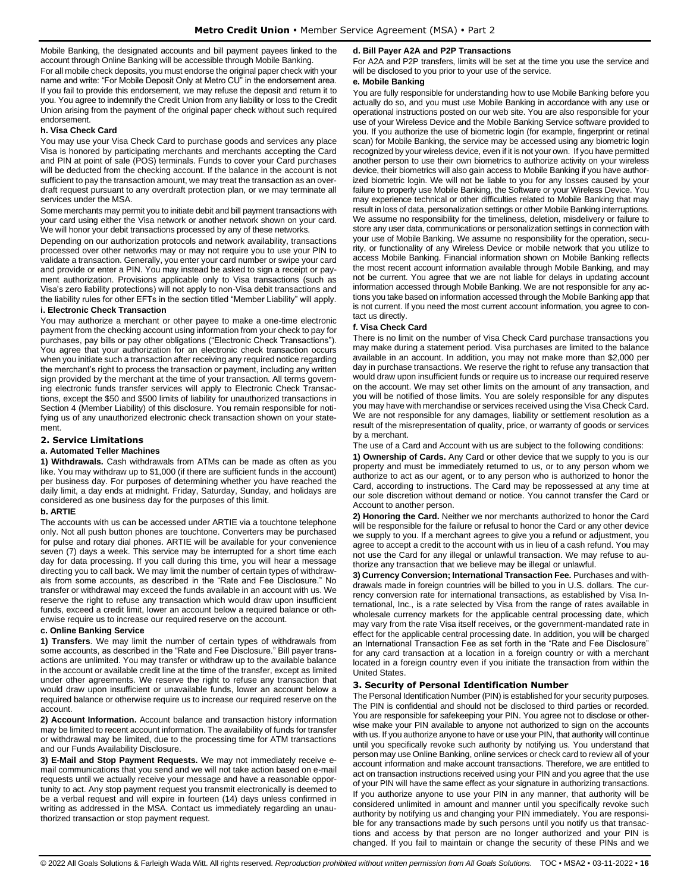Mobile Banking, the designated accounts and bill payment payees linked to the account through Online Banking will be accessible through Mobile Banking.

For all mobile check deposits, you must endorse the original paper check with your name and write: "For Mobile Deposit Only at Metro CU" in the endorsement area. If you fail to provide this endorsement, we may refuse the deposit and return it to you. You agree to indemnify the Credit Union from any liability or loss to the Credit Union arising from the payment of the original paper check without such required endorsement.

## **h. Visa Check Card**

You may use your Visa Check Card to purchase goods and services any place Visa is honored by participating merchants and merchants accepting the Card and PIN at point of sale (POS) terminals. Funds to cover your Card purchases will be deducted from the checking account. If the balance in the account is not sufficient to pay the transaction amount, we may treat the transaction as an overdraft request pursuant to any overdraft protection plan, or we may terminate all services under the MSA.

Some merchants may permit you to initiate debit and bill payment transactions with your card using either the Visa network or another network shown on your card. We will honor your debit transactions processed by any of these networks.

Depending on our authorization protocols and network availability, transactions processed over other networks may or may not require you to use your PIN to validate a transaction. Generally, you enter your card number or swipe your card and provide or enter a PIN. You may instead be asked to sign a receipt or payment authorization. Provisions applicable only to Visa transactions (such as Visa's zero liability protections) will not apply to non-Visa debit transactions and the liability rules for other EFTs in the section titled "Member Liability" will apply.

## **i. Electronic Check Transaction**

You may authorize a merchant or other payee to make a one-time electronic payment from the checking account using information from your check to pay for purchases, pay bills or pay other obligations ("Electronic Check Transactions"). You agree that your authorization for an electronic check transaction occurs when you initiate such a transaction after receiving any required notice regarding the merchant's right to process the transaction or payment, including any written sign provided by the merchant at the time of your transaction. All terms governing electronic funds transfer services will apply to Electronic Check Transactions, except the \$50 and \$500 limits of liability for unauthorized transactions in Section 4 (Member Liability) of this disclosure. You remain responsible for notifying us of any unauthorized electronic check transaction shown on your statement.

## <span id="page-15-0"></span>**2. Service Limitations**

#### **a. Automated Teller Machines**

**1) Withdrawals.** Cash withdrawals from ATMs can be made as often as you like. You may withdraw up to \$1,000 (if there are sufficient funds in the account) per business day. For purposes of determining whether you have reached the daily limit, a day ends at midnight. Friday, Saturday, Sunday, and holidays are considered as one business day for the purposes of this limit.

#### **b. ARTIE**

The accounts with us can be accessed under ARTIE via a touchtone telephone only. Not all push button phones are touchtone. Converters may be purchased for pulse and rotary dial phones. ARTIE will be available for your convenience seven (7) days a week. This service may be interrupted for a short time each day for data processing. If you call during this time, you will hear a message directing you to call back. We may limit the number of certain types of withdrawals from some accounts, as described in the "Rate and Fee Disclosure." No transfer or withdrawal may exceed the funds available in an account with us. We reserve the right to refuse any transaction which would draw upon insufficient funds, exceed a credit limit, lower an account below a required balance or otherwise require us to increase our required reserve on the account.

#### **c. Online Banking Service**

**1) Transfers**. We may limit the number of certain types of withdrawals from some accounts, as described in the "Rate and Fee Disclosure." Bill payer transactions are unlimited. You may transfer or withdraw up to the available balance in the account or available credit line at the time of the transfer, except as limited under other agreements. We reserve the right to refuse any transaction that would draw upon insufficient or unavailable funds, lower an account below a required balance or otherwise require us to increase our required reserve on the account.

**2) Account Information.** Account balance and transaction history information may be limited to recent account information. The availability of funds for transfer or withdrawal may be limited, due to the processing time for ATM transactions and our Funds Availability Disclosure.

**3) E-Mail and Stop Payment Requests.** We may not immediately receive email communications that you send and we will not take action based on e-mail requests until we actually receive your message and have a reasonable opportunity to act. Any stop payment request you transmit electronically is deemed to be a verbal request and will expire in fourteen (14) days unless confirmed in writing as addressed in the MSA. Contact us immediately regarding an unauthorized transaction or stop payment request.

## **d. Bill Payer A2A and P2P Transactions**

For A2A and P2P transfers, limits will be set at the time you use the service and will be disclosed to you prior to your use of the service.

#### **e. Mobile Banking**

You are fully responsible for understanding how to use Mobile Banking before you actually do so, and you must use Mobile Banking in accordance with any use or operational instructions posted on our web site. You are also responsible for your use of your Wireless Device and the Mobile Banking Service software provided to you. If you authorize the use of biometric login (for example, fingerprint or retinal scan) for Mobile Banking, the service may be accessed using any biometric login recognized by your wireless device, even if it is not your own. If you have permitted another person to use their own biometrics to authorize activity on your wireless device, their biometrics will also gain access to Mobile Banking if you have authorized biometric login. We will not be liable to you for any losses caused by your failure to properly use Mobile Banking, the Software or your Wireless Device. You may experience technical or other difficulties related to Mobile Banking that may result in loss of data, personalization settings or other Mobile Banking interruptions. We assume no responsibility for the timeliness, deletion, misdelivery or failure to store any user data, communications or personalization settings in connection with your use of Mobile Banking. We assume no responsibility for the operation, security, or functionality of any Wireless Device or mobile network that you utilize to access Mobile Banking. Financial information shown on Mobile Banking reflects the most recent account information available through Mobile Banking, and may not be current. You agree that we are not liable for delays in updating account information accessed through Mobile Banking. We are not responsible for any actions you take based on information accessed through the Mobile Banking app that is not current. If you need the most current account information, you agree to contact us directly.

#### **f. Visa Check Card**

There is no limit on the number of Visa Check Card purchase transactions you may make during a statement period. Visa purchases are limited to the balance available in an account. In addition, you may not make more than \$2,000 per day in purchase transactions. We reserve the right to refuse any transaction that would draw upon insufficient funds or require us to increase our required reserve on the account. We may set other limits on the amount of any transaction, and you will be notified of those limits. You are solely responsible for any disputes you may have with merchandise or services received using the Visa Check Card. We are not responsible for any damages, liability or settlement resolution as a result of the misrepresentation of quality, price, or warranty of goods or services by a merchant.

The use of a Card and Account with us are subject to the following conditions:

**1) Ownership of Cards.** Any Card or other device that we supply to you is our property and must be immediately returned to us, or to any person whom we authorize to act as our agent, or to any person who is authorized to honor the Card, according to instructions. The Card may be repossessed at any time at our sole discretion without demand or notice. You cannot transfer the Card or Account to another person.

**2) Honoring the Card.** Neither we nor merchants authorized to honor the Card will be responsible for the failure or refusal to honor the Card or any other device we supply to you. If a merchant agrees to give you a refund or adjustment, you agree to accept a credit to the account with us in lieu of a cash refund. You may not use the Card for any illegal or unlawful transaction. We may refuse to authorize any transaction that we believe may be illegal or unlawful.

**3) Currency Conversion; International Transaction Fee.** Purchases and withdrawals made in foreign countries will be billed to you in U.S. dollars. The currency conversion rate for international transactions, as established by Visa International, Inc., is a rate selected by Visa from the range of rates available in wholesale currency markets for the applicable central processing date, which may vary from the rate Visa itself receives, or the government-mandated rate in effect for the applicable central processing date. In addition, you will be charged an International Transaction Fee as set forth in the "Rate and Fee Disclosure" for any card transaction at a location in a foreign country or with a merchant located in a foreign country even if you initiate the transaction from within the United States.

#### <span id="page-15-1"></span>**3. Security of Personal Identification Number**

The Personal Identification Number (PIN) is established for your security purposes. The PIN is confidential and should not be disclosed to third parties or recorded. You are responsible for safekeeping your PIN. You agree not to disclose or otherwise make your PIN available to anyone not authorized to sign on the accounts with us. If you authorize anyone to have or use your PIN, that authority will continue until you specifically revoke such authority by notifying us. You understand that person may use Online Banking, online services or check card to review all of your account information and make account transactions. Therefore, we are entitled to act on transaction instructions received using your PIN and you agree that the use of your PIN will have the same effect as your signature in authorizing transactions. If you authorize anyone to use your PIN in any manner, that authority will be considered unlimited in amount and manner until you specifically revoke such authority by notifying us and changing your PIN immediately. You are responsible for any transactions made by such persons until you notify us that transactions and access by that person are no longer authorized and your PIN is changed. If you fail to maintain or change the security of these PINs and we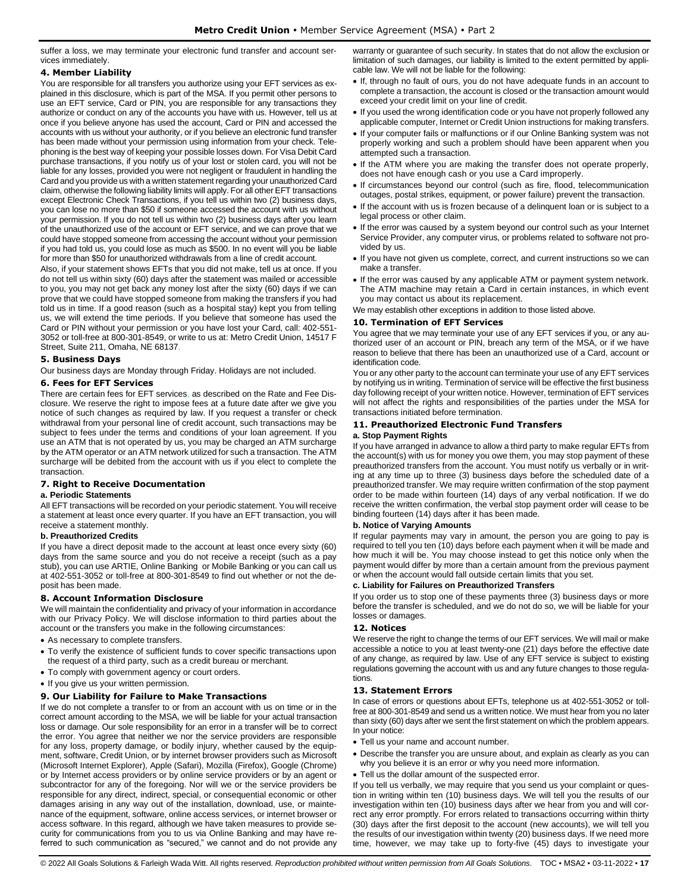suffer a loss, we may terminate your electronic fund transfer and account services immediately.

## <span id="page-16-0"></span>**4. Member Liability**

You are responsible for all transfers you authorize using your EFT services as explained in this disclosure, which is part of the MSA. If you permit other persons to use an EFT service, Card or PIN, you are responsible for any transactions they authorize or conduct on any of the accounts you have with us. However, tell us at once if you believe anyone has used the account, Card or PIN and accessed the accounts with us without your authority, or if you believe an electronic fund transfer has been made without your permission using information from your check. Telephoning is the best way of keeping your possible losses down. For Visa Debit Card purchase transactions, if you notify us of your lost or stolen card, you will not be liable for any losses, provided you were not negligent or fraudulent in handling the Card and you provide us with a written statement regarding your unauthorized Card claim, otherwise the following liability limits will apply. For all other EFT transactions except Electronic Check Transactions, if you tell us within two (2) business days, you can lose no more than \$50 if someone accessed the account with us without your permission. If you do not tell us within two (2) business days after you learn of the unauthorized use of the account or EFT service, and we can prove that we could have stopped someone from accessing the account without your permission if you had told us, you could lose as much as \$500. In no event will you be liable for more than \$50 for unauthorized withdrawals from a line of credit account.

Also, if your statement shows EFTs that you did not make, tell us at once. If you do not tell us within sixty (60) days after the statement was mailed or accessible to you, you may not get back any money lost after the sixty (60) days if we can prove that we could have stopped someone from making the transfers if you had told us in time. If a good reason (such as a hospital stay) kept you from telling us, we will extend the time periods. If you believe that someone has used the Card or PIN without your permission or you have lost your Card, call: 402-551- 3052 or toll-free at 800-301-8549, or write to us at: Metro Credit Union, 14517 F Street, Suite 211, Omaha, NE 68137.

## <span id="page-16-1"></span>**5. Business Days**

Our business days are Monday through Friday. Holidays are not included.

## <span id="page-16-2"></span>**6. Fees for EFT Services**

There are certain fees for EFT services, as described on the Rate and Fee Disclosure. We reserve the right to impose fees at a future date after we give you notice of such changes as required by law. If you request a transfer or check withdrawal from your personal line of credit account, such transactions may be subject to fees under the terms and conditions of your loan agreement. If you use an ATM that is not operated by us, you may be charged an ATM surcharge by the ATM operator or an ATM network utilized for such a transaction. The ATM surcharge will be debited from the account with us if you elect to complete the transaction.

# <span id="page-16-3"></span>**7. Right to Receive Documentation**

## **a. Periodic Statements**

All EFT transactions will be recorded on your periodic statement. You will receive a statement at least once every quarter. If you have an EFT transaction, you will receive a statement monthly.

## **b. Preauthorized Credits**

If you have a direct deposit made to the account at least once every sixty (60) days from the same source and you do not receive a receipt (such as a pay stub), you can use ARTIE, Online Banking or Mobile Banking or you can call us at 402-551-3052 or toll-free at 800-301-8549 to find out whether or not the deposit has been made.

## <span id="page-16-4"></span>**8. Account Information Disclosure**

We will maintain the confidentiality and privacy of your information in accordance with our Privacy Policy. We will disclose information to third parties about the account or the transfers you make in the following circumstances:

- As necessary to complete transfers.
- To verify the existence of sufficient funds to cover specific transactions upon the request of a third party, such as a credit bureau or merchant.
- To comply with government agency or court orders.
- If you give us your written permission.

## <span id="page-16-5"></span>**9. Our Liability for Failure to Make Transactions**

If we do not complete a transfer to or from an account with us on time or in the correct amount according to the MSA, we will be liable for your actual transaction loss or damage. Our sole responsibility for an error in a transfer will be to correct the error. You agree that neither we nor the service providers are responsible for any loss, property damage, or bodily injury, whether caused by the equipment, software, Credit Union, or by internet browser providers such as Microsoft (Microsoft Internet Explorer), Apple (Safari), Mozilla (Firefox), Google (Chrome) or by Internet access providers or by online service providers or by an agent or subcontractor for any of the foregoing. Nor will we or the service providers be responsible for any direct, indirect, special, or consequential economic or other damages arising in any way out of the installation, download, use, or maintenance of the equipment, software, online access services, or internet browser or access software. In this regard, although we have taken measures to provide security for communications from you to us via Online Banking and may have referred to such communication as "secured," we cannot and do not provide any

warranty or guarantee of such security. In states that do not allow the exclusion or limitation of such damages, our liability is limited to the extent permitted by applicable law. We will not be liable for the following:

- If, through no fault of ours, you do not have adequate funds in an account to complete a transaction, the account is closed or the transaction amount would exceed your credit limit on your line of credit.
- If you used the wrong identification code or you have not properly followed any applicable computer, Internet or Credit Union instructions for making transfers.
- If your computer fails or malfunctions or if our Online Banking system was not properly working and such a problem should have been apparent when you attempted such a transaction.
- If the ATM where you are making the transfer does not operate properly, does not have enough cash or you use a Card improperly.
- If circumstances beyond our control (such as fire, flood, telecommunication outages, postal strikes, equipment, or power failure) prevent the transaction.
- If the account with us is frozen because of a delinquent loan or is subject to a legal process or other claim.
- If the error was caused by a system beyond our control such as your Internet Service Provider, any computer virus, or problems related to software not provided by us.
- If you have not given us complete, correct, and current instructions so we can make a transfer.
- If the error was caused by any applicable ATM or payment system network. The ATM machine may retain a Card in certain instances, in which event you may contact us about its replacement.

We may establish other exceptions in addition to those listed above.

## <span id="page-16-6"></span>**10. Termination of EFT Services**

You agree that we may terminate your use of any EFT services if you, or any authorized user of an account or PIN, breach any term of the MSA, or if we have reason to believe that there has been an unauthorized use of a Card, account or identification code.

You or any other party to the account can terminate your use of any EFT services by notifying us in writing. Termination of service will be effective the first business day following receipt of your written notice. However, termination of EFT services will not affect the rights and responsibilities of the parties under the MSA for transactions initiated before termination.

# <span id="page-16-7"></span>**11. Preauthorized Electronic Fund Transfers**

## **a. Stop Payment Rights**

If you have arranged in advance to allow a third party to make regular EFTs from the account(s) with us for money you owe them, you may stop payment of these preauthorized transfers from the account. You must notify us verbally or in writing at any time up to three (3) business days before the scheduled date of a preauthorized transfer. We may require written confirmation of the stop payment order to be made within fourteen (14) days of any verbal notification. If we do receive the written confirmation, the verbal stop payment order will cease to be binding fourteen (14) days after it has been made.

## **b. Notice of Varying Amounts**

If regular payments may vary in amount, the person you are going to pay is required to tell you ten (10) days before each payment when it will be made and how much it will be. You may choose instead to get this notice only when the payment would differ by more than a certain amount from the previous payment or when the account would fall outside certain limits that you set.

## **c. Liability for Failures on Preauthorized Transfers**

If you order us to stop one of these payments three (3) business days or more before the transfer is scheduled, and we do not do so, we will be liable for your losses or damages.

## <span id="page-16-8"></span>**12. Notices**

We reserve the right to change the terms of our EFT services. We will mail or make accessible a notice to you at least twenty-one (21) days before the effective date of any change, as required by law. Use of any EFT service is subject to existing regulations governing the account with us and any future changes to those regulations.

## <span id="page-16-9"></span>**13. Statement Errors**

In case of errors or questions about EFTs, telephone us at 402-551-3052 or tollfree at 800-301-8549 and send us a written notice. We must hear from you no later than sixty (60) days after we sent the first statement on which the problem appears. In your notice:

- Tell us your name and account number.
- Describe the transfer you are unsure about, and explain as clearly as you can why you believe it is an error or why you need more information.
- Tell us the dollar amount of the suspected error.

If you tell us verbally, we may require that you send us your complaint or question in writing within ten (10) business days. We will tell you the results of our investigation within ten (10) business days after we hear from you and will correct any error promptly. For errors related to transactions occurring within thirty (30) days after the first deposit to the account (new accounts), we will tell you the results of our investigation within twenty (20) business days. If we need more time, however, we may take up to forty-five (45) days to investigate your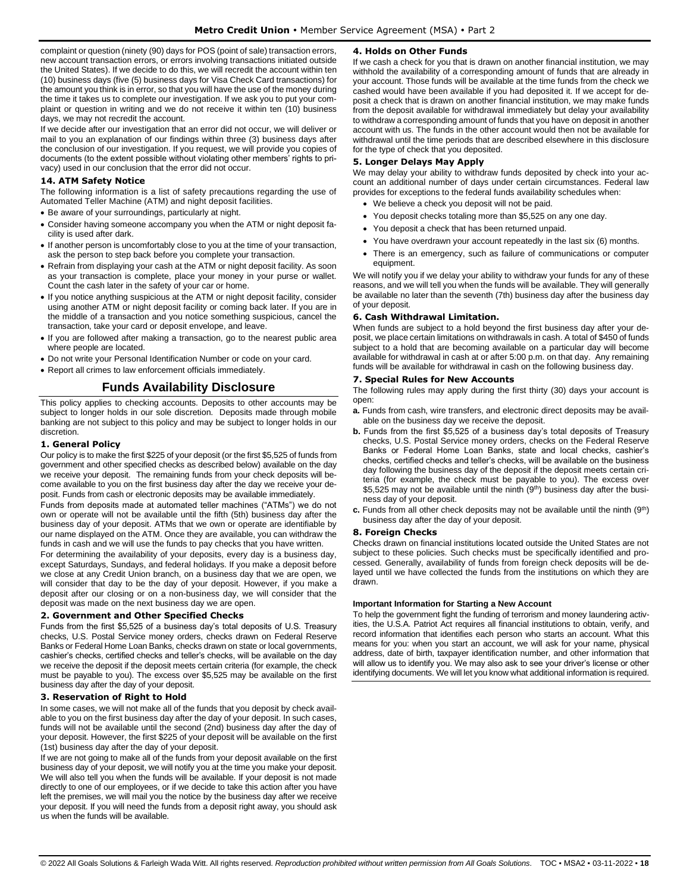complaint or question (ninety (90) days for POS (point of sale) transaction errors, new account transaction errors, or errors involving transactions initiated outside the United States). If we decide to do this, we will recredit the account within ten (10) business days (five (5) business days for Visa Check Card transactions) for the amount you think is in error, so that you will have the use of the money during the time it takes us to complete our investigation. If we ask you to put your complaint or question in writing and we do not receive it within ten (10) business days, we may not recredit the account.

If we decide after our investigation that an error did not occur, we will deliver or mail to you an explanation of our findings within three (3) business days after the conclusion of our investigation. If you request, we will provide you copies of documents (to the extent possible without violating other members' rights to privacy) used in our conclusion that the error did not occur.

## <span id="page-17-0"></span>**14. ATM Safety Notice**

The following information is a list of safety precautions regarding the use of Automated Teller Machine (ATM) and night deposit facilities.

- Be aware of your surroundings, particularly at night.
- Consider having someone accompany you when the ATM or night deposit facility is used after dark.
- If another person is uncomfortably close to you at the time of your transaction, ask the person to step back before you complete your transaction.
- Refrain from displaying your cash at the ATM or night deposit facility. As soon as your transaction is complete, place your money in your purse or wallet. Count the cash later in the safety of your car or home.
- If you notice anything suspicious at the ATM or night deposit facility, consider using another ATM or night deposit facility or coming back later. If you are in the middle of a transaction and you notice something suspicious, cancel the transaction, take your card or deposit envelope, and leave.
- If you are followed after making a transaction, go to the nearest public area where people are located.
- Do not write your Personal Identification Number or code on your card.
- <span id="page-17-1"></span>• Report all crimes to law enforcement officials immediately.

## **Funds Availability Disclosure**

This policy applies to checking accounts. Deposits to other accounts may be subject to longer holds in our sole discretion. Deposits made through mobile banking are not subject to this policy and may be subject to longer holds in our discretion.

#### <span id="page-17-2"></span>**1. General Policy**

Our policy is to make the first \$225 of your deposit (or the first \$5,525 of funds from government and other specified checks as described below) available on the day we receive your deposit. The remaining funds from your check deposits will become available to you on the first business day after the day we receive your deposit. Funds from cash or electronic deposits may be available immediately.

Funds from deposits made at automated teller machines ("ATMs") we do not own or operate will not be available until the fifth (5th) business day after the business day of your deposit. ATMs that we own or operate are identifiable by our name displayed on the ATM. Once they are available, you can withdraw the funds in cash and we will use the funds to pay checks that you have written.

For determining the availability of your deposits, every day is a business day, except Saturdays, Sundays, and federal holidays. If you make a deposit before we close at any Credit Union branch, on a business day that we are open, we will consider that day to be the day of your deposit. However, if you make a deposit after our closing or on a non-business day, we will consider that the deposit was made on the next business day we are open.

#### <span id="page-17-3"></span>**2. Government and Other Specified Checks**

Funds from the first \$5,525 of a business day's total deposits of U.S. Treasury checks, U.S. Postal Service money orders, checks drawn on Federal Reserve Banks or Federal Home Loan Banks, checks drawn on state or local governments, cashier's checks, certified checks and teller's checks, will be available on the day we receive the deposit if the deposit meets certain criteria (for example, the check must be payable to you). The excess over \$5,525 may be available on the first business day after the day of your deposit.

## <span id="page-17-4"></span>**3. Reservation of Right to Hold**

In some cases, we will not make all of the funds that you deposit by check available to you on the first business day after the day of your deposit. In such cases, funds will not be available until the second (2nd) business day after the day of your deposit. However, the first \$225 of your deposit will be available on the first (1st) business day after the day of your deposit.

If we are not going to make all of the funds from your deposit available on the first business day of your deposit, we will notify you at the time you make your deposit. We will also tell you when the funds will be available. If your deposit is not made directly to one of our employees, or if we decide to take this action after you have left the premises, we will mail you the notice by the business day after we receive your deposit. If you will need the funds from a deposit right away, you should ask us when the funds will be available.

## <span id="page-17-5"></span>**4. Holds on Other Funds**

If we cash a check for you that is drawn on another financial institution, we may withhold the availability of a corresponding amount of funds that are already in your account. Those funds will be available at the time funds from the check we cashed would have been available if you had deposited it. If we accept for deposit a check that is drawn on another financial institution, we may make funds from the deposit available for withdrawal immediately but delay your availability to withdraw a corresponding amount of funds that you have on deposit in another account with us. The funds in the other account would then not be available for withdrawal until the time periods that are described elsewhere in this disclosure for the type of check that you deposited.

## <span id="page-17-6"></span>**5. Longer Delays May Apply**

We may delay your ability to withdraw funds deposited by check into your account an additional number of days under certain circumstances. Federal law provides for exceptions to the federal funds availability schedules when:

- We believe a check you deposit will not be paid.
- You deposit checks totaling more than \$5,525 on any one day.
- You deposit a check that has been returned unpaid.
- You have overdrawn your account repeatedly in the last six (6) months.
- There is an emergency, such as failure of communications or computer equipment.

We will notify you if we delay your ability to withdraw your funds for any of these reasons, and we will tell you when the funds will be available. They will generally be available no later than the seventh (7th) business day after the business day of your deposit.

#### <span id="page-17-7"></span>**6. Cash Withdrawal Limitation.**

When funds are subject to a hold beyond the first business day after your deposit, we place certain limitations on withdrawals in cash. A total of \$450 of funds subject to a hold that are becoming available on a particular day will become available for withdrawal in cash at or after 5:00 p.m. on that day. Any remaining funds will be available for withdrawal in cash on the following business day.

#### <span id="page-17-8"></span>**7. Special Rules for New Accounts**

The following rules may apply during the first thirty (30) days your account is open:

- **a.** Funds from cash, wire transfers, and electronic direct deposits may be available on the business day we receive the deposit.
- **b.** Funds from the first \$5,525 of a business day's total deposits of Treasury checks, U.S. Postal Service money orders, checks on the Federal Reserve Banks or Federal Home Loan Banks, state and local checks, cashier's checks, certified checks and teller's checks, will be available on the business day following the business day of the deposit if the deposit meets certain criteria (for example, the check must be payable to you). The excess over \$5,525 may not be available until the ninth (9<sup>th</sup>) business day after the business day of your deposit.
- **c.** Funds from all other check deposits may not be available until the ninth (9<sup>th</sup>) business day after the day of your deposit.

#### <span id="page-17-9"></span>**8. Foreign Checks**

Checks drawn on financial institutions located outside the United States are not subject to these policies. Such checks must be specifically identified and processed. Generally, availability of funds from foreign check deposits will be delayed until we have collected the funds from the institutions on which they are drawn.

#### **Important Information for Starting a New Account**

To help the government fight the funding of terrorism and money laundering activities, the U.S.A. Patriot Act requires all financial institutions to obtain, verify, and record information that identifies each person who starts an account. What this means for you: when you start an account, we will ask for your name, physical address, date of birth, taxpayer identification number, and other information that will allow us to identify you. We may also ask to see your driver's license or other identifying documents. We will let you know what additional information is required.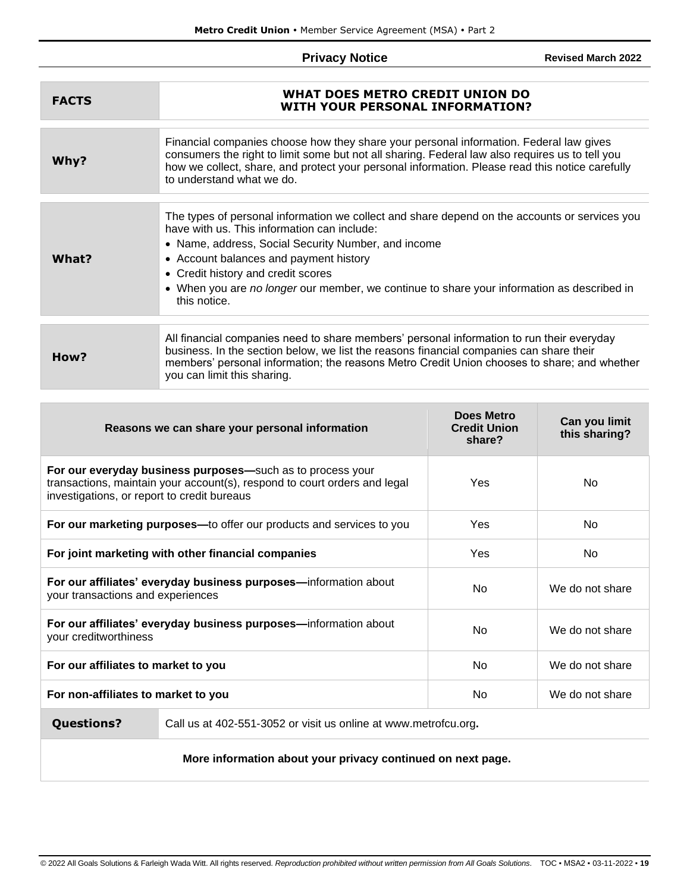# **Privacy Notice**

**Revised March 2022**

<span id="page-18-0"></span>

| <b>FACTS</b> | WHAT DOES METRO CREDIT UNION DO<br><b>WITH YOUR PERSONAL INFORMATION?</b>                                                                                                                                                                                                                                                                                                                         |
|--------------|---------------------------------------------------------------------------------------------------------------------------------------------------------------------------------------------------------------------------------------------------------------------------------------------------------------------------------------------------------------------------------------------------|
| Why?         | Financial companies choose how they share your personal information. Federal law gives<br>consumers the right to limit some but not all sharing. Federal law also requires us to tell you<br>how we collect, share, and protect your personal information. Please read this notice carefully<br>to understand what we do.                                                                         |
| What?        | The types of personal information we collect and share depend on the accounts or services you<br>have with us. This information can include:<br>• Name, address, Social Security Number, and income<br>• Account balances and payment history<br>• Credit history and credit scores<br>• When you are no longer our member, we continue to share your information as described in<br>this notice. |
| How?         | All financial companies need to share members' personal information to run their everyday<br>business. In the section below, we list the reasons financial companies can share their<br>members' personal information; the reasons Metro Credit Union chooses to share; and whether<br>you can limit this sharing.                                                                                |

| Reasons we can share your personal information                                                                                                                                         |  | Does Metro<br><b>Credit Union</b><br>share? | Can you limit<br>this sharing? |
|----------------------------------------------------------------------------------------------------------------------------------------------------------------------------------------|--|---------------------------------------------|--------------------------------|
| For our everyday business purposes-such as to process your<br>transactions, maintain your account(s), respond to court orders and legal<br>investigations, or report to credit bureaus |  | Yes                                         | No.                            |
| For our marketing purposes—to offer our products and services to you                                                                                                                   |  | <b>Yes</b>                                  | No.                            |
| For joint marketing with other financial companies                                                                                                                                     |  | Yes                                         | No.                            |
| For our affiliates' everyday business purposes-information about<br>your transactions and experiences                                                                                  |  | No.                                         | We do not share                |
| For our affiliates' everyday business purposes-information about<br>your creditworthiness                                                                                              |  | N <sub>o</sub>                              | We do not share                |
| For our affiliates to market to you                                                                                                                                                    |  | No.                                         | We do not share                |
| No.<br>For non-affiliates to market to you                                                                                                                                             |  | We do not share                             |                                |
| $0.1 \rightarrow 1.005$ FF4, $0.050$ and $\frac{1}{2}$ is a subjected in $\frac{1}{2}$ in $\frac{1}{2}$ in $\frac{1}{2}$                                                               |  |                                             |                                |

**Questions?** Call us at 402-551-3052 or visit us online at www.metrofcu.org**.**

**More information about your privacy continued on next page.**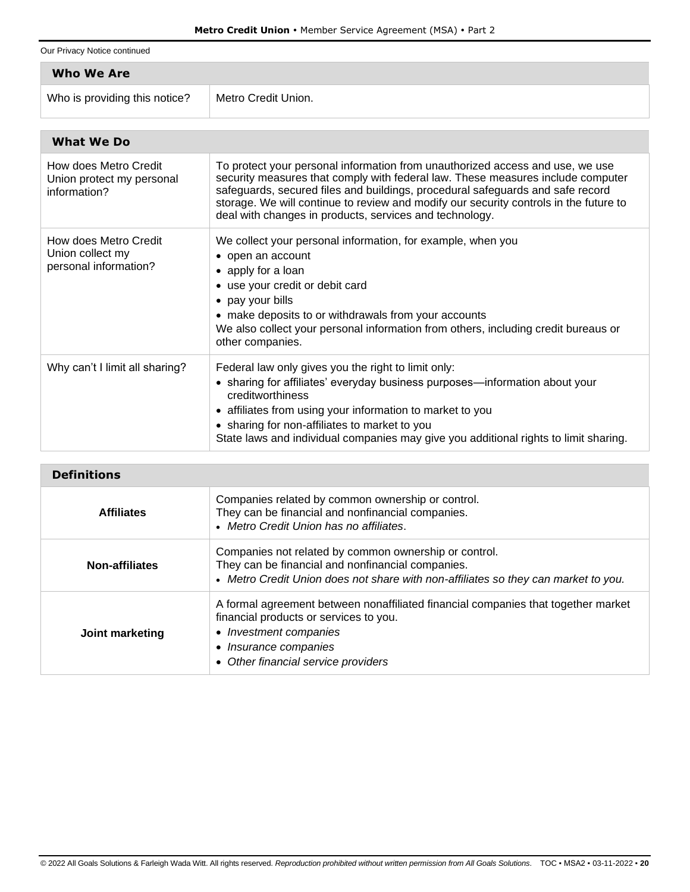Our Privacy Notice continued

| Who We Are                                           |                                                                                                                                                                  |  |
|------------------------------------------------------|------------------------------------------------------------------------------------------------------------------------------------------------------------------|--|
| Who is providing this notice?                        | Metro Credit Union.                                                                                                                                              |  |
| What We Do                                           |                                                                                                                                                                  |  |
| How does Metro Credit<br>Union protect pour porqueoi | To protect your personal information from unauthorized access and use, we use<br>coourity moogures that comply with foderal low. These moogures include computer |  |

| Union protect my personal<br>information?                          | security measures that comply with federal law. These measures include computer<br>safeguards, secured files and buildings, procedural safeguards and safe record<br>storage. We will continue to review and modify our security controls in the future to<br>deal with changes in products, services and technology.                                        |
|--------------------------------------------------------------------|--------------------------------------------------------------------------------------------------------------------------------------------------------------------------------------------------------------------------------------------------------------------------------------------------------------------------------------------------------------|
| How does Metro Credit<br>Union collect my<br>personal information? | We collect your personal information, for example, when you<br>• open an account<br>• apply for a loan<br>• use your credit or debit card<br>• pay your bills<br>• make deposits to or withdrawals from your accounts<br>We also collect your personal information from others, including credit bureaus or<br>other companies.                              |
| Why can't I limit all sharing?                                     | Federal law only gives you the right to limit only:<br>• sharing for affiliates' everyday business purposes—information about your<br>creditworthiness<br>• affiliates from using your information to market to you<br>• sharing for non-affiliates to market to you<br>State laws and individual companies may give you additional rights to limit sharing. |

| <b>Definitions</b>    |                                                                                                                                                                                                                       |
|-----------------------|-----------------------------------------------------------------------------------------------------------------------------------------------------------------------------------------------------------------------|
| <b>Affiliates</b>     | Companies related by common ownership or control.<br>They can be financial and nonfinancial companies.<br>• Metro Credit Union has no affiliates.                                                                     |
| <b>Non-affiliates</b> | Companies not related by common ownership or control.<br>They can be financial and nonfinancial companies.<br>• Metro Credit Union does not share with non-affiliates so they can market to you.                      |
| Joint marketing       | A formal agreement between nonaffiliated financial companies that together market<br>financial products or services to you.<br>• Investment companies<br>• Insurance companies<br>• Other financial service providers |